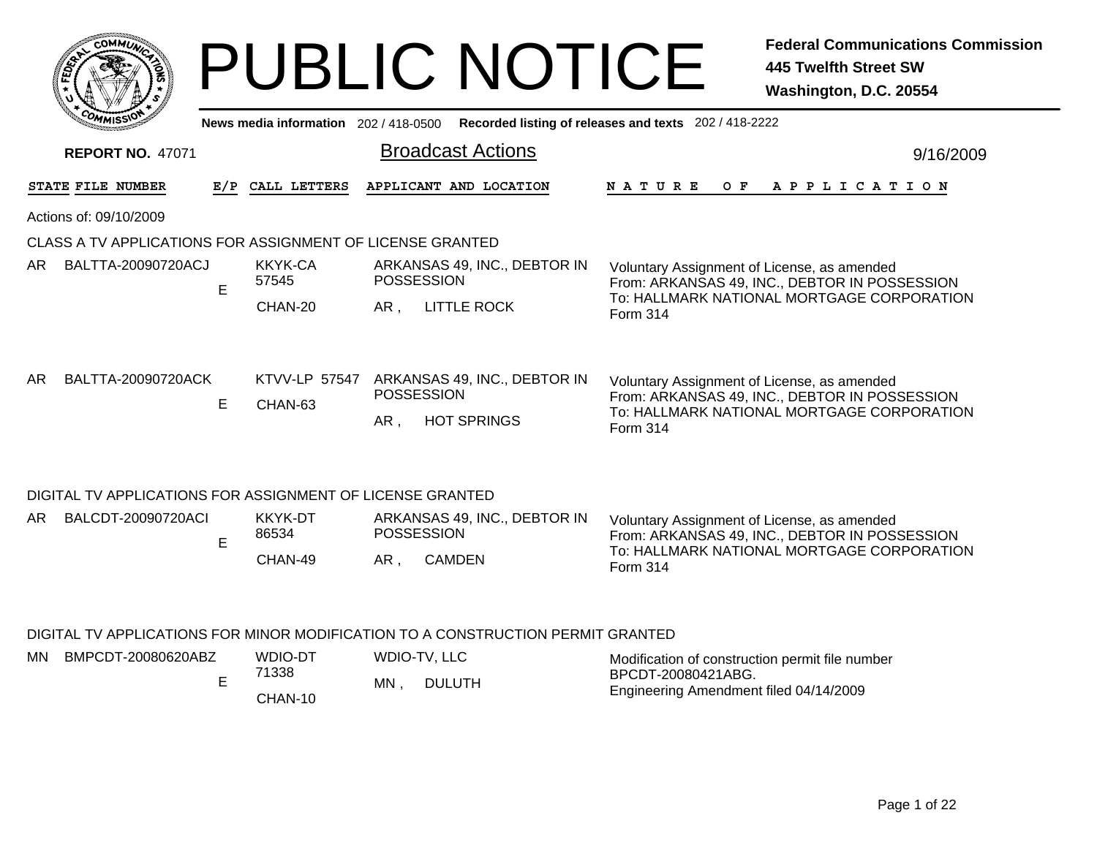|         | <b>MMUNT</b><br>$c_{\mathbf{O}}$ |    |
|---------|----------------------------------|----|
| Êç<br>c |                                  | ্ব |
|         |                                  |    |
|         | COM<br>MISS <sup>.</sup><br>---  |    |

MN

# PUBLIC NOTICE **Federal Communications Commission 445 Twelfth Street SW Washington, D.C. 20554**

|                            | <b>MMISS</b>                                              |                  |                          |                                                   | News media information 202/418-0500 Recorded listing of releases and texts 202/418-2222 |                                                                                                         |                                                                                                                                                               |  |  |  |  |     |  |  |  |                       |  |  |           |
|----------------------------|-----------------------------------------------------------|------------------|--------------------------|---------------------------------------------------|-----------------------------------------------------------------------------------------|---------------------------------------------------------------------------------------------------------|---------------------------------------------------------------------------------------------------------------------------------------------------------------|--|--|--|--|-----|--|--|--|-----------------------|--|--|-----------|
|                            | <b>REPORT NO. 47071</b>                                   |                  |                          |                                                   | <b>Broadcast Actions</b>                                                                |                                                                                                         |                                                                                                                                                               |  |  |  |  |     |  |  |  |                       |  |  | 9/16/2009 |
|                            | STATE FILE NUMBER                                         |                  | E/P CALL LETTERS         |                                                   | APPLICANT AND LOCATION                                                                  |                                                                                                         | <b>NATURE</b>                                                                                                                                                 |  |  |  |  | O F |  |  |  | A P P L I C A T I O N |  |  |           |
|                            | Actions of: 09/10/2009                                    |                  |                          |                                                   |                                                                                         |                                                                                                         |                                                                                                                                                               |  |  |  |  |     |  |  |  |                       |  |  |           |
|                            | CLASS A TV APPLICATIONS FOR ASSIGNMENT OF LICENSE GRANTED |                  |                          |                                                   |                                                                                         |                                                                                                         |                                                                                                                                                               |  |  |  |  |     |  |  |  |                       |  |  |           |
| BALTTA-20090720ACJ<br>AR . | E                                                         | KKYK-CA<br>57545 |                          | ARKANSAS 49, INC., DEBTOR IN<br><b>POSSESSION</b> |                                                                                         | Voluntary Assignment of License, as amended                                                             |                                                                                                                                                               |  |  |  |  |     |  |  |  |                       |  |  |           |
|                            |                                                           |                  | CHAN-20                  | AR,                                               | <b>LITTLE ROCK</b>                                                                      | From: ARKANSAS 49, INC., DEBTOR IN POSSESSION<br>To: HALLMARK NATIONAL MORTGAGE CORPORATION<br>Form 314 |                                                                                                                                                               |  |  |  |  |     |  |  |  |                       |  |  |           |
| AR.                        | BALTTA-20090720ACK                                        | E                | KTVV-LP 57547<br>CHAN-63 | AR,                                               | ARKANSAS 49, INC., DEBTOR IN<br><b>POSSESSION</b><br><b>HOT SPRINGS</b>                 |                                                                                                         | Voluntary Assignment of License, as amended<br>From: ARKANSAS 49, INC., DEBTOR IN POSSESSION<br>To: HALLMARK NATIONAL MORTGAGE CORPORATION<br><b>Form 314</b> |  |  |  |  |     |  |  |  |                       |  |  |           |
|                            | DIGITAL TV APPLICATIONS FOR ASSIGNMENT OF LICENSE GRANTED |                  |                          |                                                   |                                                                                         |                                                                                                         |                                                                                                                                                               |  |  |  |  |     |  |  |  |                       |  |  |           |
| AR.                        | BALCDT-20090720ACI                                        | E                | KKYK-DT<br>86534         |                                                   | ARKANSAS 49, INC., DEBTOR IN<br><b>POSSESSION</b>                                       |                                                                                                         | Voluntary Assignment of License, as amended<br>From: ARKANSAS 49, INC., DEBTOR IN POSSESSION                                                                  |  |  |  |  |     |  |  |  |                       |  |  |           |
|                            |                                                           |                  | CHAN-49                  | AR,                                               | <b>CAMDEN</b>                                                                           | To: HALLMARK NATIONAL MORTGAGE CORPORATION<br>Form 314                                                  |                                                                                                                                                               |  |  |  |  |     |  |  |  |                       |  |  |           |
|                            |                                                           |                  |                          |                                                   |                                                                                         |                                                                                                         |                                                                                                                                                               |  |  |  |  |     |  |  |  |                       |  |  |           |

#### DIGITAL TV APPLICATIONS FOR MINOR MODIFICATION TO A CONSTRUCTION PERMIT GRANTED

| N | BMPCDT-20080620ABZ | WDIO-DT | WDIO-TV, LLC        | Modification of construction permit file number |
|---|--------------------|---------|---------------------|-------------------------------------------------|
|   |                    | 71338   | MN<br><b>DULUTH</b> | BPCDT-20080421ABG.                              |
|   |                    | CHAN-10 |                     | Engineering Amendment filed 04/14/2009          |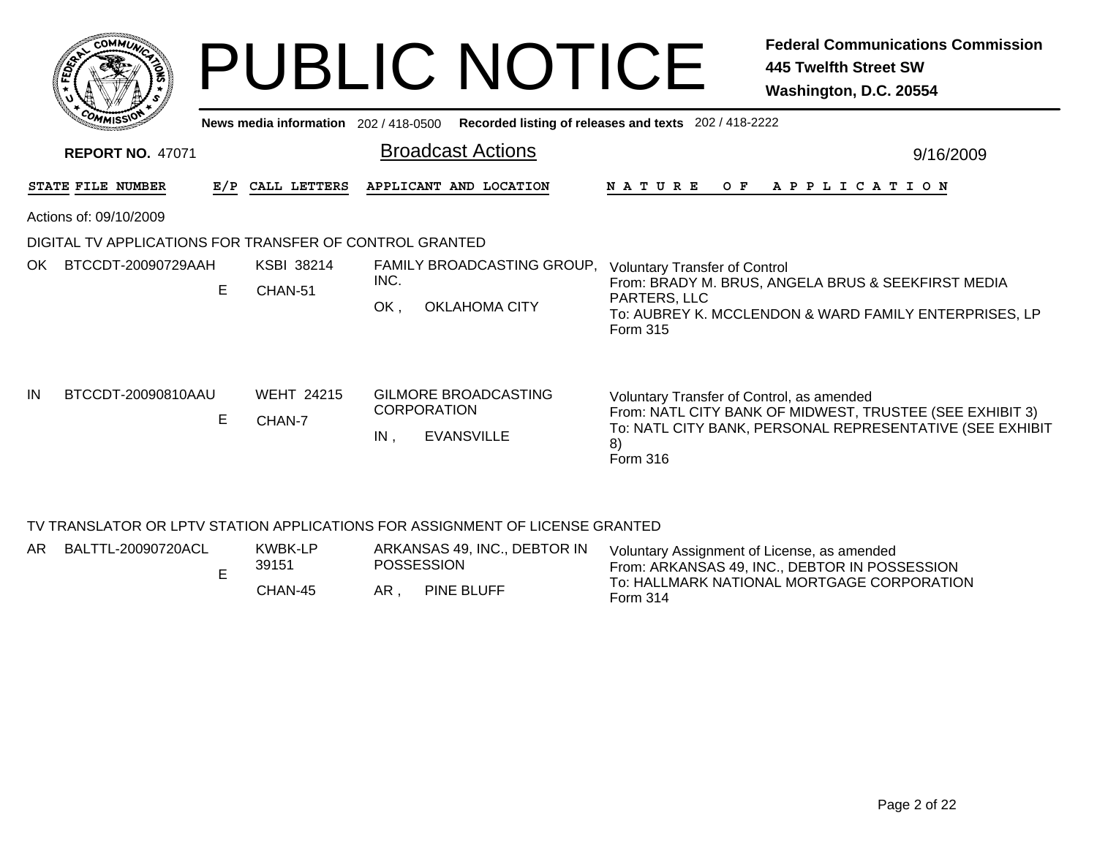|      |                                                         |     |                                       |                                                                        | <b>PUBLIC NOTICE</b>                               |                                                                  | <b>Federal Communications Commission</b><br>445 Twelfth Street SW<br>Washington, D.C. 20554                          |
|------|---------------------------------------------------------|-----|---------------------------------------|------------------------------------------------------------------------|----------------------------------------------------|------------------------------------------------------------------|----------------------------------------------------------------------------------------------------------------------|
|      |                                                         |     | News media information 202 / 418-0500 |                                                                        |                                                    | Recorded listing of releases and texts 202 / 418-2222            |                                                                                                                      |
|      | <b>REPORT NO. 47071</b>                                 |     |                                       | <b>Broadcast Actions</b>                                               |                                                    |                                                                  | 9/16/2009                                                                                                            |
|      | STATE FILE NUMBER                                       | E/P | CALL LETTERS                          | APPLICANT AND LOCATION                                                 |                                                    | O F<br>N A T U R E                                               | A P P L I C A T I O N                                                                                                |
|      | Actions of: 09/10/2009                                  |     |                                       |                                                                        |                                                    |                                                                  |                                                                                                                      |
|      | DIGITAL TV APPLICATIONS FOR TRANSFER OF CONTROL GRANTED |     |                                       |                                                                        |                                                    |                                                                  |                                                                                                                      |
| OK . | BTCCDT-20090729AAH                                      | E.  | KSBI 38214<br>CHAN-51                 | INC.<br>OK.                                                            | FAMILY BROADCASTING GROUP,<br><b>OKLAHOMA CITY</b> | <b>Voluntary Transfer of Control</b><br>PARTERS, LLC<br>Form 315 | From: BRADY M. BRUS, ANGELA BRUS & SEEKFIRST MEDIA<br>To: AUBREY K. MCCLENDON & WARD FAMILY ENTERPRISES, LP          |
| IN   | BTCCDT-20090810AAU                                      | E   | <b>WEHT 24215</b><br>CHAN-7           | GILMORE BROADCASTING<br><b>CORPORATION</b><br>IN.<br><b>EVANSVILLE</b> |                                                    | Voluntary Transfer of Control, as amended<br>8)<br>Form 316      | From: NATL CITY BANK OF MIDWEST, TRUSTEE (SEE EXHIBIT 3)<br>To: NATL CITY BANK, PERSONAL REPRESENTATIVE (SEE EXHIBIT |

#### TV TRANSLATOR OR LPTV STATION APPLICATIONS FOR ASSIGNMENT OF LICENSE GRANTED

| AR. | BALTTL-20090720ACL | KWBK-LP<br>39151 |     | ARKANSAS 49, INC., DEBTOR IN<br><b>POSSESSION</b> | Voluntary Assignment of License, as amended<br>From: ARKANSAS 49, INC., DEBTOR IN POSSESSION |
|-----|--------------------|------------------|-----|---------------------------------------------------|----------------------------------------------------------------------------------------------|
|     |                    | CHAN-45          | AR. | PINE BLUFF                                        | To: HALLMARK NATIONAL MORTGAGE CORPORATION<br>Form 314                                       |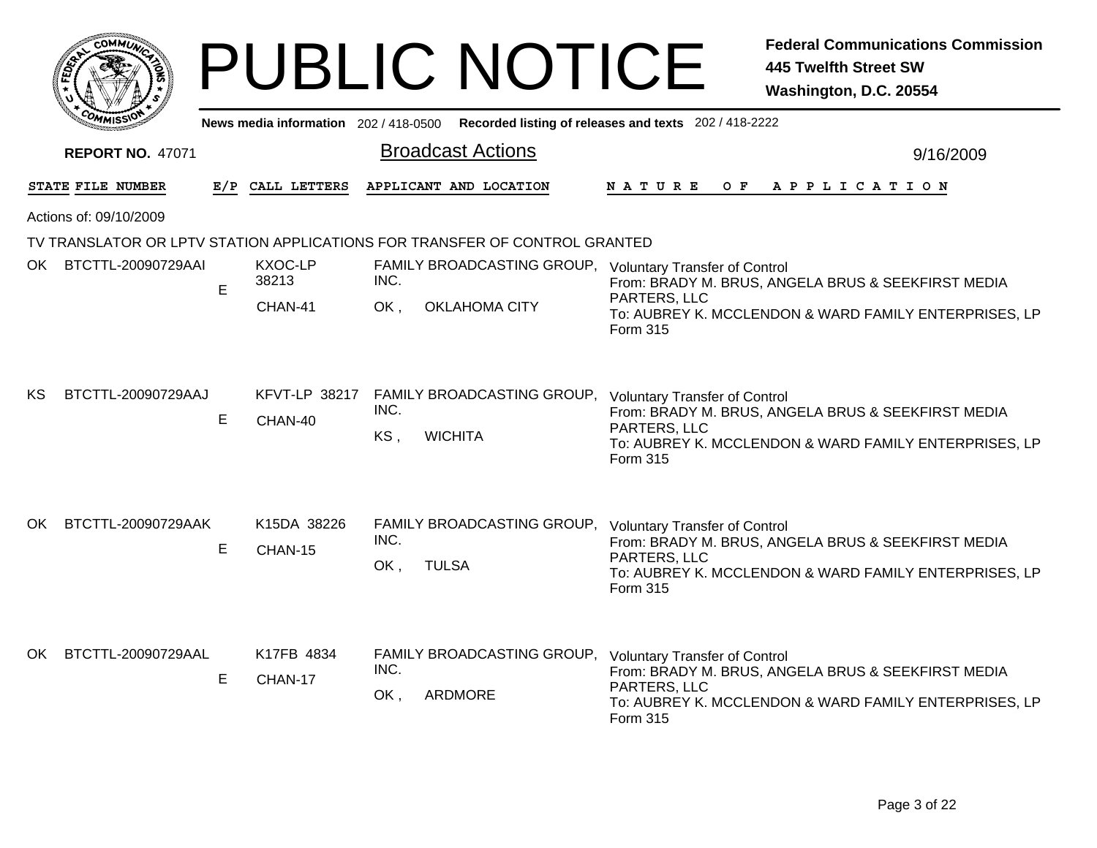|     |                         |     |                                                                                      | <b>PUBLIC NOTICE</b>                                                       | <b>Federal Communications Commission</b><br><b>445 Twelfth Street SW</b><br>Washington, D.C. 20554                                                                              |  |  |  |
|-----|-------------------------|-----|--------------------------------------------------------------------------------------|----------------------------------------------------------------------------|---------------------------------------------------------------------------------------------------------------------------------------------------------------------------------|--|--|--|
|     |                         |     | News media information 202/418-0500                                                  |                                                                            | Recorded listing of releases and texts 202 / 418-2222                                                                                                                           |  |  |  |
|     | <b>REPORT NO. 47071</b> |     |                                                                                      | <b>Broadcast Actions</b>                                                   | 9/16/2009                                                                                                                                                                       |  |  |  |
|     | STATE FILE NUMBER       | E/P | CALL LETTERS                                                                         | APPLICANT AND LOCATION                                                     | $O$ $F$<br>N A T U R E<br>A P P L I C A T I O N                                                                                                                                 |  |  |  |
|     | Actions of: 09/10/2009  |     |                                                                                      |                                                                            |                                                                                                                                                                                 |  |  |  |
|     |                         |     |                                                                                      | TV TRANSLATOR OR LPTV STATION APPLICATIONS FOR TRANSFER OF CONTROL GRANTED |                                                                                                                                                                                 |  |  |  |
|     | OK BTCTTL-20090729AAI   | E   | KXOC-LP<br>FAMILY BROADCASTING GROUP, Voluntary Transfer of Control<br>38213<br>INC. |                                                                            | From: BRADY M. BRUS, ANGELA BRUS & SEEKFIRST MEDIA                                                                                                                              |  |  |  |
|     |                         |     | CHAN-41                                                                              | <b>OKLAHOMA CITY</b><br>OK,                                                | PARTERS, LLC<br>To: AUBREY K. MCCLENDON & WARD FAMILY ENTERPRISES, LP<br>Form 315                                                                                               |  |  |  |
| KS. | BTCTTL-20090729AAJ      | E   | CHAN-40                                                                              | KFVT-LP 38217 FAMILY BROADCASTING GROUP,<br>INC.<br>KS,<br><b>WICHITA</b>  | <b>Voluntary Transfer of Control</b><br>From: BRADY M. BRUS, ANGELA BRUS & SEEKFIRST MEDIA<br>PARTERS, LLC<br>To: AUBREY K. MCCLENDON & WARD FAMILY ENTERPRISES, LP<br>Form 315 |  |  |  |
| OK. | BTCTTL-20090729AAK      | E   | K15DA 38226<br>CHAN-15                                                               | FAMILY BROADCASTING GROUP,<br>INC.<br><b>TULSA</b><br>OK,                  | <b>Voluntary Transfer of Control</b><br>From: BRADY M. BRUS, ANGELA BRUS & SEEKFIRST MEDIA<br>PARTERS, LLC<br>To: AUBREY K. MCCLENDON & WARD FAMILY ENTERPRISES, LP<br>Form 315 |  |  |  |
| OK  | BTCTTL-20090729AAL      | E   | K17FB 4834<br>CHAN-17                                                                | FAMILY BROADCASTING GROUP,<br>INC.<br>OK.<br>ARDMORE                       | <b>Voluntary Transfer of Control</b><br>From: BRADY M. BRUS, ANGELA BRUS & SEEKFIRST MEDIA<br>PARTERS, LLC<br>To: AUBREY K. MCCLENDON & WARD FAMILY ENTERPRISES, LP<br>Form 315 |  |  |  |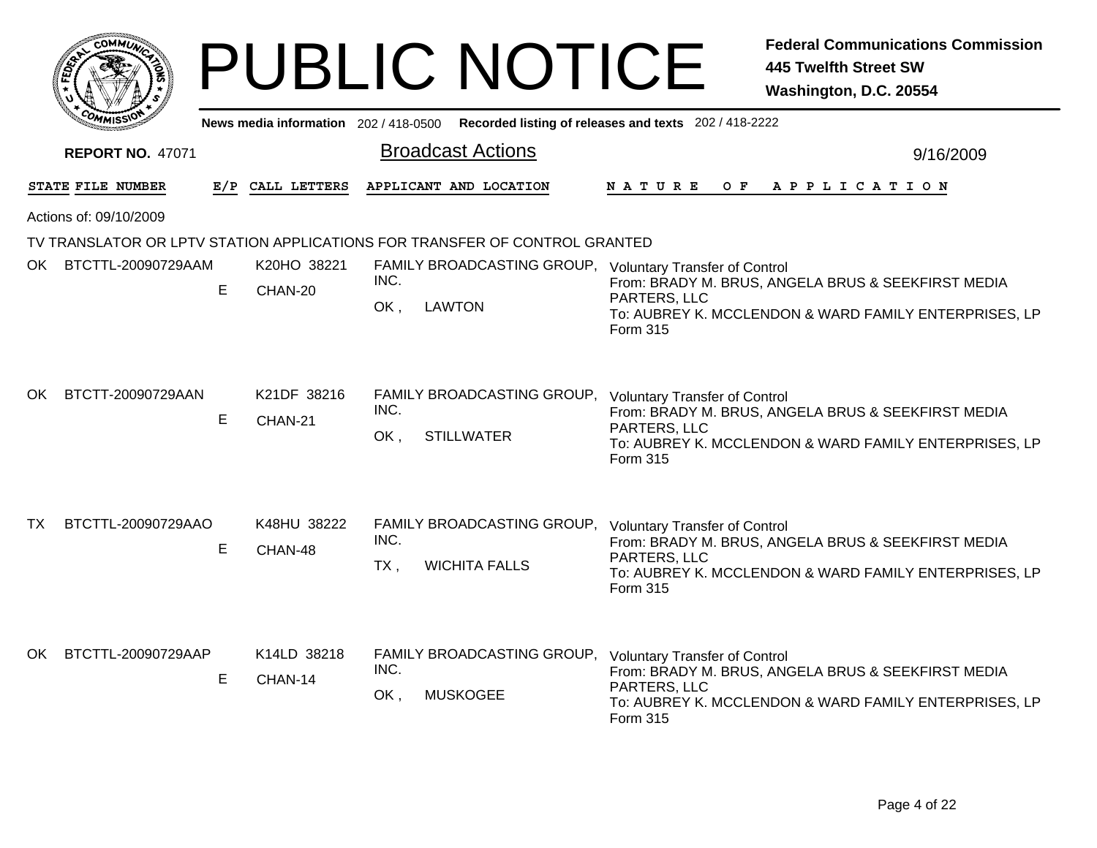|                        | <u>.</u> омм $\tilde{U}$ |     |                                       | <b>PUBLIC NOTICE</b>                                                                     | <b>Federal Communications Commission</b><br><b>445 Twelfth Street SW</b><br>Washington, D.C. 20554                                                                              |  |  |  |  |  |
|------------------------|--------------------------|-----|---------------------------------------|------------------------------------------------------------------------------------------|---------------------------------------------------------------------------------------------------------------------------------------------------------------------------------|--|--|--|--|--|
|                        |                          |     | News media information 202 / 418-0500 |                                                                                          | Recorded listing of releases and texts 202 / 418-2222                                                                                                                           |  |  |  |  |  |
|                        | <b>REPORT NO. 47071</b>  |     |                                       | <b>Broadcast Actions</b>                                                                 | 9/16/2009                                                                                                                                                                       |  |  |  |  |  |
|                        | STATE FILE NUMBER        | E/P | CALL LETTERS                          | APPLICANT AND LOCATION                                                                   | O F<br>A P P L I C A T I O N<br>N A T U R E                                                                                                                                     |  |  |  |  |  |
| Actions of: 09/10/2009 |                          |     |                                       |                                                                                          |                                                                                                                                                                                 |  |  |  |  |  |
|                        |                          |     |                                       | TV TRANSLATOR OR LPTV STATION APPLICATIONS FOR TRANSFER OF CONTROL GRANTED               |                                                                                                                                                                                 |  |  |  |  |  |
| OK :                   | BTCTTL-20090729AAM       | E   | K20HO 38221<br>CHAN-20                | FAMILY BROADCASTING GROUP, Voluntary Transfer of Control<br>INC.<br>OK,<br><b>LAWTON</b> | From: BRADY M. BRUS, ANGELA BRUS & SEEKFIRST MEDIA<br>PARTERS, LLC<br>To: AUBREY K. MCCLENDON & WARD FAMILY ENTERPRISES, LP<br>Form 315                                         |  |  |  |  |  |
| OK.                    | BTCTT-20090729AAN        | E   | K21DF 38216<br>CHAN-21                | FAMILY BROADCASTING GROUP,<br>INC.<br>OK,<br><b>STILLWATER</b>                           | <b>Voluntary Transfer of Control</b><br>From: BRADY M. BRUS, ANGELA BRUS & SEEKFIRST MEDIA<br>PARTERS, LLC<br>To: AUBREY K. MCCLENDON & WARD FAMILY ENTERPRISES, LP<br>Form 315 |  |  |  |  |  |
| TX.                    | BTCTTL-20090729AAO       | Е   | K48HU 38222<br>CHAN-48                | FAMILY BROADCASTING GROUP,<br>INC.<br>$TX$ ,<br><b>WICHITA FALLS</b>                     | <b>Voluntary Transfer of Control</b><br>From: BRADY M. BRUS, ANGELA BRUS & SEEKFIRST MEDIA<br>PARTERS, LLC<br>To: AUBREY K. MCCLENDON & WARD FAMILY ENTERPRISES, LP<br>Form 315 |  |  |  |  |  |
| OK.                    | BTCTTL-20090729AAP       | Е   | K14LD 38218<br>CHAN-14                | FAMILY BROADCASTING GROUP,<br>INC.<br>OK,<br><b>MUSKOGEE</b>                             | <b>Voluntary Transfer of Control</b><br>From: BRADY M. BRUS, ANGELA BRUS & SEEKFIRST MEDIA<br>PARTERS, LLC<br>To: AUBREY K. MCCLENDON & WARD FAMILY ENTERPRISES, LP<br>Form 315 |  |  |  |  |  |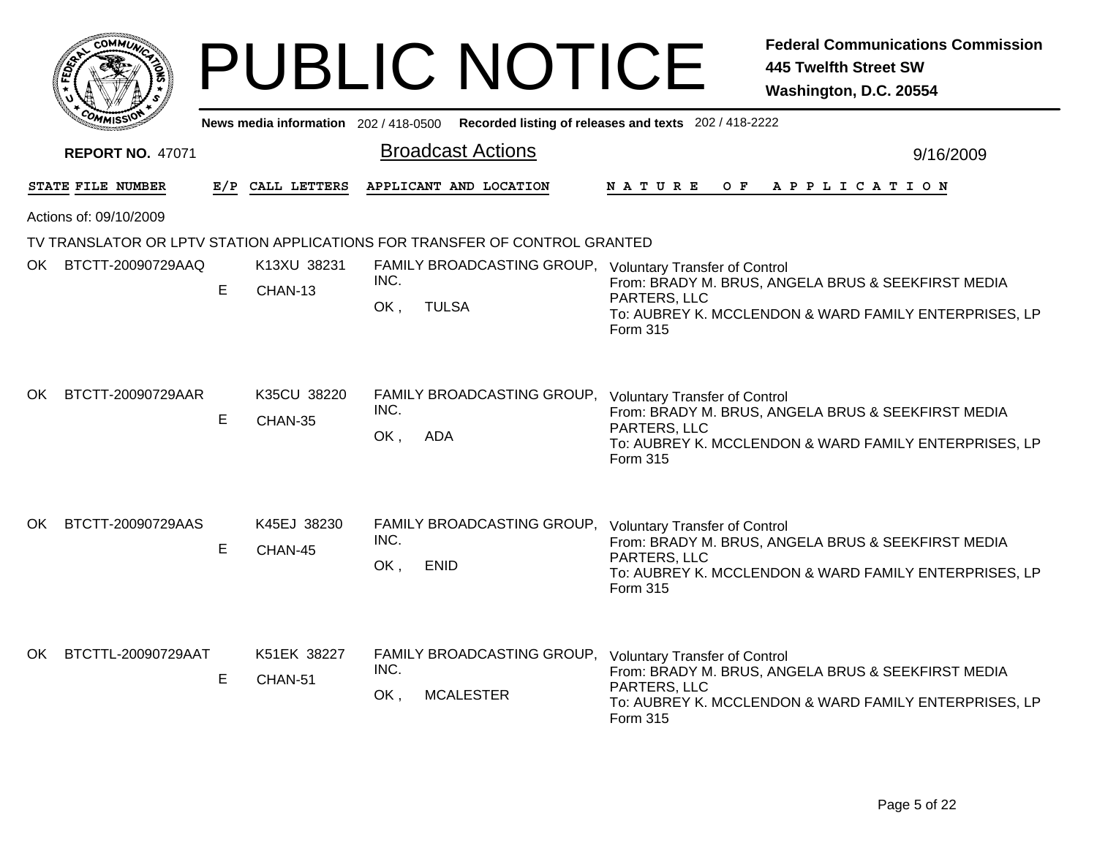|     | :OMML)                  |     |                                     | <b>PUBLIC NOTICE</b>                                                                    | <b>Federal Communications Commission</b><br><b>445 Twelfth Street SW</b><br>Washington, D.C. 20554                                                                              |  |  |  |  |  |  |
|-----|-------------------------|-----|-------------------------------------|-----------------------------------------------------------------------------------------|---------------------------------------------------------------------------------------------------------------------------------------------------------------------------------|--|--|--|--|--|--|
|     |                         |     | News media information 202/418-0500 |                                                                                         | Recorded listing of releases and texts 202 / 418-2222                                                                                                                           |  |  |  |  |  |  |
|     | <b>REPORT NO. 47071</b> |     |                                     | <b>Broadcast Actions</b>                                                                | 9/16/2009                                                                                                                                                                       |  |  |  |  |  |  |
|     | STATE FILE NUMBER       | E/P | CALL LETTERS                        | APPLICANT AND LOCATION                                                                  | $O$ $F$<br>N A T U R E<br>A P P L I C A T I O N                                                                                                                                 |  |  |  |  |  |  |
|     | Actions of: 09/10/2009  |     |                                     |                                                                                         |                                                                                                                                                                                 |  |  |  |  |  |  |
|     |                         |     |                                     | TV TRANSLATOR OR LPTV STATION APPLICATIONS FOR TRANSFER OF CONTROL GRANTED              |                                                                                                                                                                                 |  |  |  |  |  |  |
| OK  | BTCTT-20090729AAQ       | E   | K13XU 38231<br>CHAN-13              | FAMILY BROADCASTING GROUP, Voluntary Transfer of Control<br>INC.<br>OK,<br><b>TULSA</b> | From: BRADY M. BRUS, ANGELA BRUS & SEEKFIRST MEDIA<br>PARTERS, LLC<br>To: AUBREY K. MCCLENDON & WARD FAMILY ENTERPRISES, LP<br>Form 315                                         |  |  |  |  |  |  |
| OK. | BTCTT-20090729AAR       | E   | K35CU 38220<br>CHAN-35              | FAMILY BROADCASTING GROUP,<br>INC.<br>OK.<br><b>ADA</b>                                 | <b>Voluntary Transfer of Control</b><br>From: BRADY M. BRUS, ANGELA BRUS & SEEKFIRST MEDIA<br>PARTERS, LLC<br>To: AUBREY K. MCCLENDON & WARD FAMILY ENTERPRISES, LP<br>Form 315 |  |  |  |  |  |  |
| OK. | BTCTT-20090729AAS       | E   | K45EJ 38230<br>CHAN-45              | FAMILY BROADCASTING GROUP,<br>INC.<br>OK,<br><b>ENID</b>                                | <b>Voluntary Transfer of Control</b><br>From: BRADY M. BRUS, ANGELA BRUS & SEEKFIRST MEDIA<br>PARTERS, LLC<br>To: AUBREY K. MCCLENDON & WARD FAMILY ENTERPRISES, LP<br>Form 315 |  |  |  |  |  |  |
| OK. | BTCTTL-20090729AAT      | E   | K51EK 38227<br>CHAN-51              | FAMILY BROADCASTING GROUP,<br>INC.<br>OK,<br><b>MCALESTER</b>                           | <b>Voluntary Transfer of Control</b><br>From: BRADY M. BRUS, ANGELA BRUS & SEEKFIRST MEDIA<br>PARTERS, LLC<br>To: AUBREY K. MCCLENDON & WARD FAMILY ENTERPRISES, LP<br>Form 315 |  |  |  |  |  |  |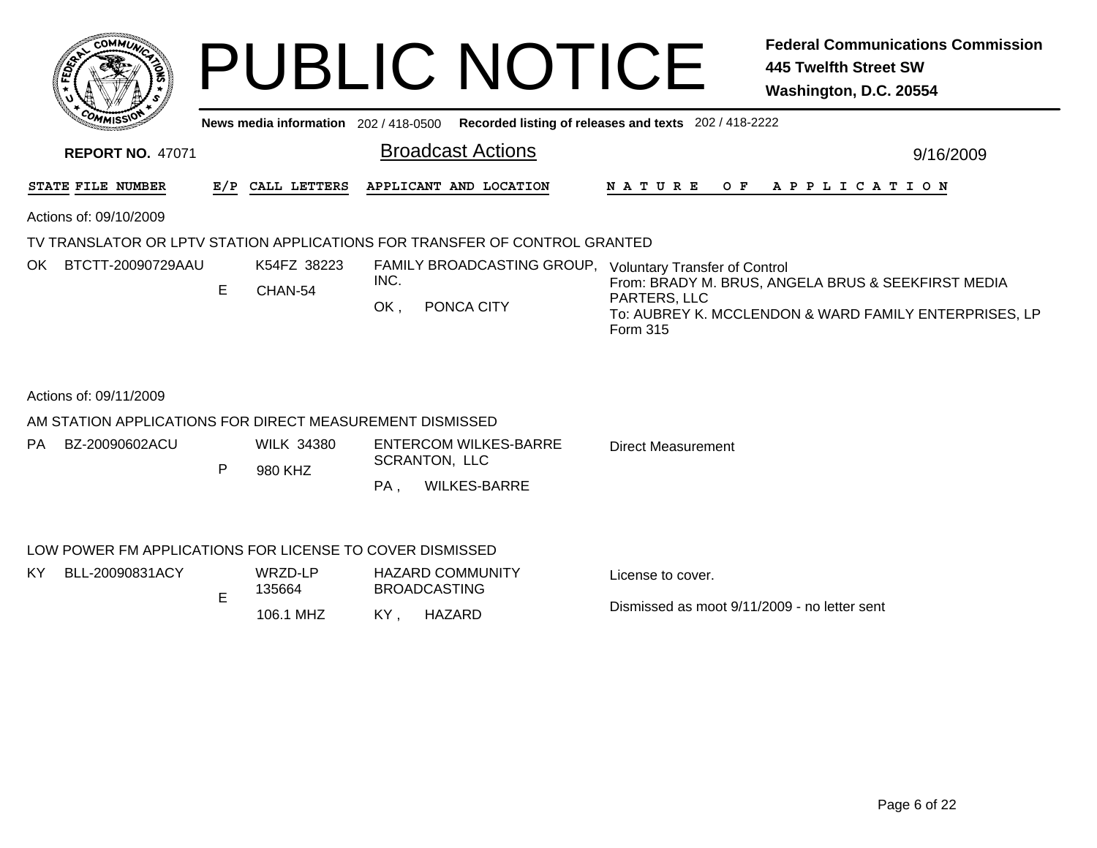| <b>COMMUT</b>                                                                                |     |                              | <b>PUBLIC NOTICE</b>                                                                  | <b>Federal Communications Commission</b><br><b>445 Twelfth Street SW</b><br>Washington, D.C. 20554                                      |  |  |  |  |  |  |  |  |
|----------------------------------------------------------------------------------------------|-----|------------------------------|---------------------------------------------------------------------------------------|-----------------------------------------------------------------------------------------------------------------------------------------|--|--|--|--|--|--|--|--|
| News media information 202 / 418-0500<br>Recorded listing of releases and texts 202/418-2222 |     |                              |                                                                                       |                                                                                                                                         |  |  |  |  |  |  |  |  |
| <b>REPORT NO. 47071</b>                                                                      |     |                              | <b>Broadcast Actions</b>                                                              | 9/16/2009                                                                                                                               |  |  |  |  |  |  |  |  |
| STATE FILE NUMBER                                                                            | E/P | CALL LETTERS                 | APPLICANT AND LOCATION                                                                | N A T U R E<br>O F<br>A P P L I C A T I O N                                                                                             |  |  |  |  |  |  |  |  |
| Actions of: 09/10/2009                                                                       |     |                              |                                                                                       |                                                                                                                                         |  |  |  |  |  |  |  |  |
|                                                                                              |     |                              | TV TRANSLATOR OR LPTV STATION APPLICATIONS FOR TRANSFER OF CONTROL GRANTED            |                                                                                                                                         |  |  |  |  |  |  |  |  |
| OK BTCTT-20090729AAU                                                                         | E   | K54FZ 38223<br>CHAN-54       | FAMILY BROADCASTING GROUP, Voluntary Transfer of Control<br>INC.<br>OK.<br>PONCA CITY | From: BRADY M. BRUS, ANGELA BRUS & SEEKFIRST MEDIA<br>PARTERS, LLC<br>To: AUBREY K. MCCLENDON & WARD FAMILY ENTERPRISES, LP<br>Form 315 |  |  |  |  |  |  |  |  |
| Actions of: 09/11/2009                                                                       |     |                              |                                                                                       |                                                                                                                                         |  |  |  |  |  |  |  |  |
| AM STATION APPLICATIONS FOR DIRECT MEASUREMENT DISMISSED                                     |     |                              |                                                                                       |                                                                                                                                         |  |  |  |  |  |  |  |  |
| BZ-20090602ACU<br>PA                                                                         | P   | <b>WILK 34380</b><br>980 KHZ | <b>ENTERCOM WILKES-BARRE</b><br><b>SCRANTON, LLC</b>                                  | <b>Direct Measurement</b>                                                                                                               |  |  |  |  |  |  |  |  |
|                                                                                              |     |                              | PA.<br><b>WILKES-BARRE</b>                                                            |                                                                                                                                         |  |  |  |  |  |  |  |  |
| LOW POWER FM APPLICATIONS FOR LICENSE TO COVER DISMISSED                                     |     |                              |                                                                                       |                                                                                                                                         |  |  |  |  |  |  |  |  |
| BLL-20090831ACY<br>KY.                                                                       |     | WRZD-LP<br>135664            | <b>HAZARD COMMUNITY</b><br><b>BROADCASTING</b>                                        | License to cover.                                                                                                                       |  |  |  |  |  |  |  |  |
|                                                                                              | E   | 106.1 MHZ                    | KY.<br>HAZARD                                                                         | Dismissed as moot 9/11/2009 - no letter sent                                                                                            |  |  |  |  |  |  |  |  |
|                                                                                              |     |                              |                                                                                       |                                                                                                                                         |  |  |  |  |  |  |  |  |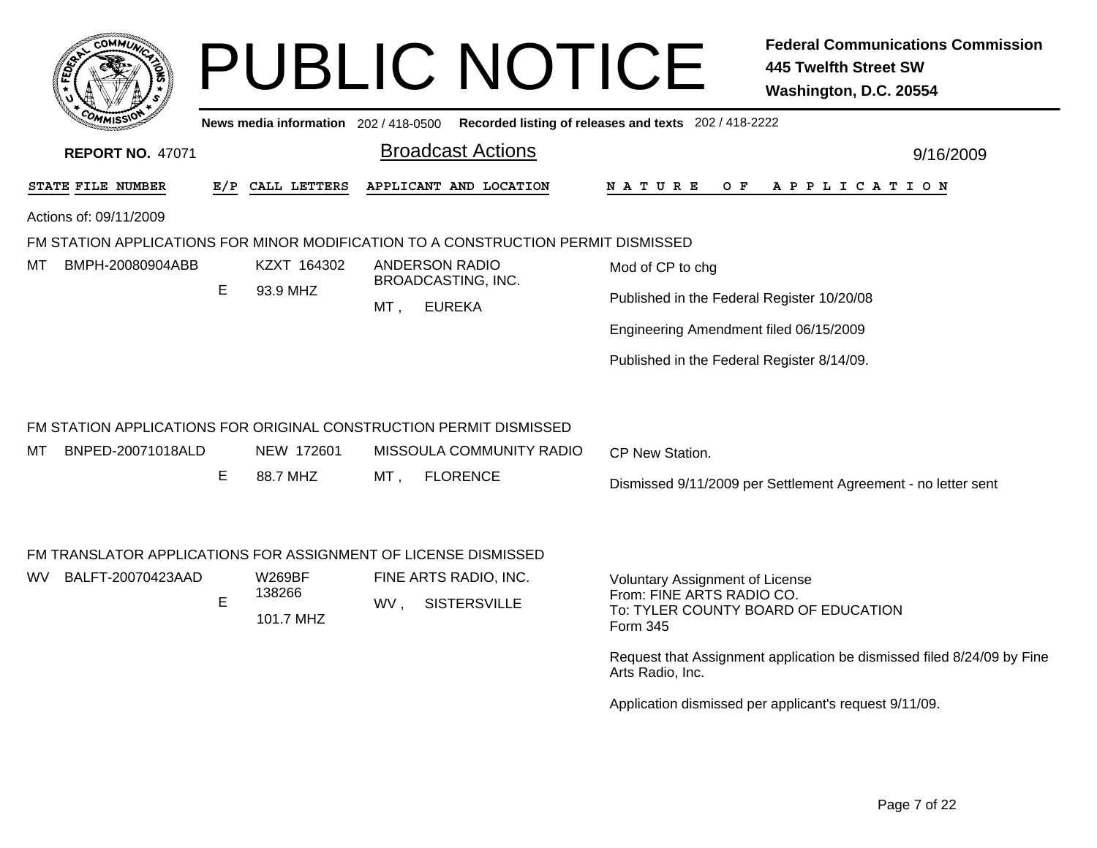|                          |                                           |                                     | <b>PUBLIC NOTICE</b>                                                              | <b>Federal Communications Commission</b><br><b>445 Twelfth Street SW</b><br>Washington, D.C. 20554                     |
|--------------------------|-------------------------------------------|-------------------------------------|-----------------------------------------------------------------------------------|------------------------------------------------------------------------------------------------------------------------|
|                          |                                           | News media information 202/418-0500 |                                                                                   | Recorded listing of releases and texts 202 / 418-2222                                                                  |
| <b>REPORT NO. 47071</b>  |                                           |                                     | <b>Broadcast Actions</b>                                                          | 9/16/2009                                                                                                              |
| STATE FILE NUMBER        | E/P                                       | CALL LETTERS                        | APPLICANT AND LOCATION                                                            | N A T U R E<br>O F<br>A P P L I C A T I O N                                                                            |
| Actions of: 09/11/2009   |                                           |                                     |                                                                                   |                                                                                                                        |
|                          |                                           |                                     | FM STATION APPLICATIONS FOR MINOR MODIFICATION TO A CONSTRUCTION PERMIT DISMISSED |                                                                                                                        |
| BMPH-20080904ABB<br>мт   |                                           | KZXT 164302                         | <b>ANDERSON RADIO</b>                                                             | Mod of CP to chg                                                                                                       |
|                          | E                                         | 93.9 MHZ                            | <b>BROADCASTING, INC.</b><br><b>EUREKA</b><br>MT,                                 | Published in the Federal Register 10/20/08                                                                             |
|                          |                                           |                                     |                                                                                   | Engineering Amendment filed 06/15/2009                                                                                 |
|                          |                                           |                                     |                                                                                   | Published in the Federal Register 8/14/09.                                                                             |
|                          |                                           |                                     | FM STATION APPLICATIONS FOR ORIGINAL CONSTRUCTION PERMIT DISMISSED                |                                                                                                                        |
| BNPED-20071018ALD<br>мт  |                                           | NEW 172601                          | MISSOULA COMMUNITY RADIO                                                          | CP New Station.                                                                                                        |
|                          | E.                                        | 88.7 MHZ                            | <b>FLORENCE</b><br>MT,                                                            | Dismissed 9/11/2009 per Settlement Agreement - no letter sent                                                          |
|                          |                                           |                                     | FM TRANSLATOR APPLICATIONS FOR ASSIGNMENT OF LICENSE DISMISSED                    |                                                                                                                        |
| BALFT-20070423AAD<br>wv. | <b>W269BF</b><br>138266<br>E<br>101.7 MHZ |                                     | FINE ARTS RADIO, INC.<br><b>SISTERSVILLE</b><br>WV,                               | <b>Voluntary Assignment of License</b><br>From: FINE ARTS RADIO CO.<br>To: TYLER COUNTY BOARD OF EDUCATION<br>Form 345 |
|                          |                                           |                                     |                                                                                   | Request that Assignment application be dismissed filed 8/24/09 by Fine<br>Arts Radio, Inc.                             |

Application dismissed per applicant's request 9/11/09.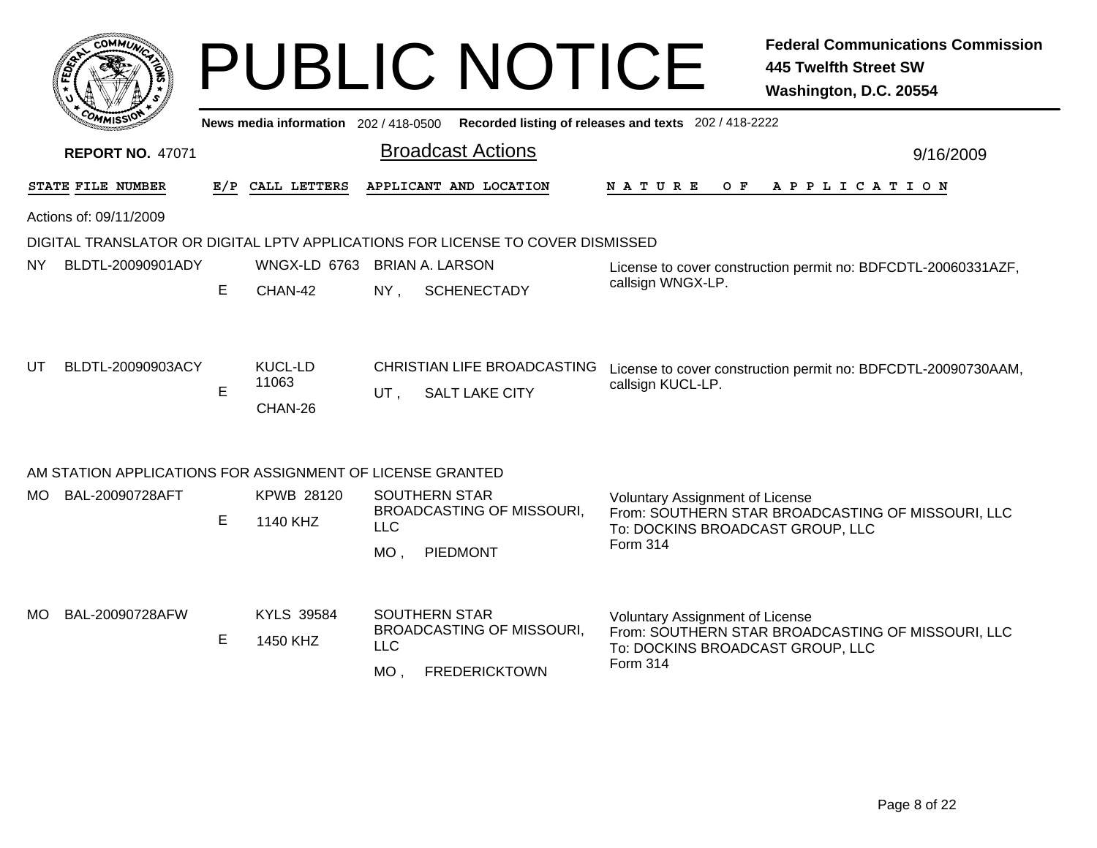|           |                                                           |                                              |                                    |                      | <b>PUBLIC NOTICE</b>                                                                        |                                                                                        | <b>Federal Communications Commission</b><br><b>445 Twelfth Street SW</b><br>Washington, D.C. 20554 |
|-----------|-----------------------------------------------------------|----------------------------------------------|------------------------------------|----------------------|---------------------------------------------------------------------------------------------|----------------------------------------------------------------------------------------|----------------------------------------------------------------------------------------------------|
|           |                                                           |                                              |                                    |                      | News media information 202 / 418-0500 Recorded listing of releases and texts 202 / 418-2222 |                                                                                        |                                                                                                    |
|           | <b>REPORT NO. 47071</b>                                   |                                              |                                    |                      | <b>Broadcast Actions</b>                                                                    |                                                                                        | 9/16/2009                                                                                          |
|           | STATE FILE NUMBER                                         | E/P                                          | CALL LETTERS                       |                      | APPLICANT AND LOCATION                                                                      | N A T U R E<br>O F                                                                     | APPLICATION                                                                                        |
|           | Actions of: 09/11/2009                                    |                                              |                                    |                      |                                                                                             |                                                                                        |                                                                                                    |
|           |                                                           |                                              |                                    |                      | DIGITAL TRANSLATOR OR DIGITAL LPTV APPLICATIONS FOR LICENSE TO COVER DISMISSED              |                                                                                        |                                                                                                    |
| NY.       | BLDTL-20090901ADY                                         |                                              | WNGX-LD 6763 BRIAN A. LARSON       |                      |                                                                                             |                                                                                        | License to cover construction permit no: BDFCDTL-20060331AZF,                                      |
|           |                                                           | Е<br>CHAN-42<br>$NY$ .<br><b>SCHENECTADY</b> |                                    |                      |                                                                                             | callsign WNGX-LP.                                                                      |                                                                                                    |
| UT        | BLDTL-20090903ACY                                         | E.                                           | <b>KUCL-LD</b><br>11063<br>CHAN-26 | UT.                  | <b>CHRISTIAN LIFE BROADCASTING</b><br><b>SALT LAKE CITY</b>                                 | callsign KUCL-LP.                                                                      | License to cover construction permit no: BDFCDTL-20090730AAM,                                      |
|           | AM STATION APPLICATIONS FOR ASSIGNMENT OF LICENSE GRANTED |                                              |                                    |                      |                                                                                             |                                                                                        |                                                                                                    |
| MO.       | BAL-20090728AFT                                           | E                                            | <b>KPWB 28120</b><br>1140 KHZ      | <b>LLC</b><br>MO.    | <b>SOUTHERN STAR</b><br>BROADCASTING OF MISSOURI,<br>PIEDMONT                               | <b>Voluntary Assignment of License</b><br>To: DOCKINS BROADCAST GROUP, LLC<br>Form 314 | From: SOUTHERN STAR BROADCASTING OF MISSOURI, LLC                                                  |
| <b>MO</b> | BAL-20090728AFW                                           | E.                                           | <b>KYLS 39584</b><br>1450 KHZ      | <b>LLC</b><br>$MO$ , | <b>SOUTHERN STAR</b><br><b>BROADCASTING OF MISSOURI,</b><br><b>FREDERICKTOWN</b>            | <b>Voluntary Assignment of License</b><br>To: DOCKINS BROADCAST GROUP, LLC<br>Form 314 | From: SOUTHERN STAR BROADCASTING OF MISSOURI, LLC                                                  |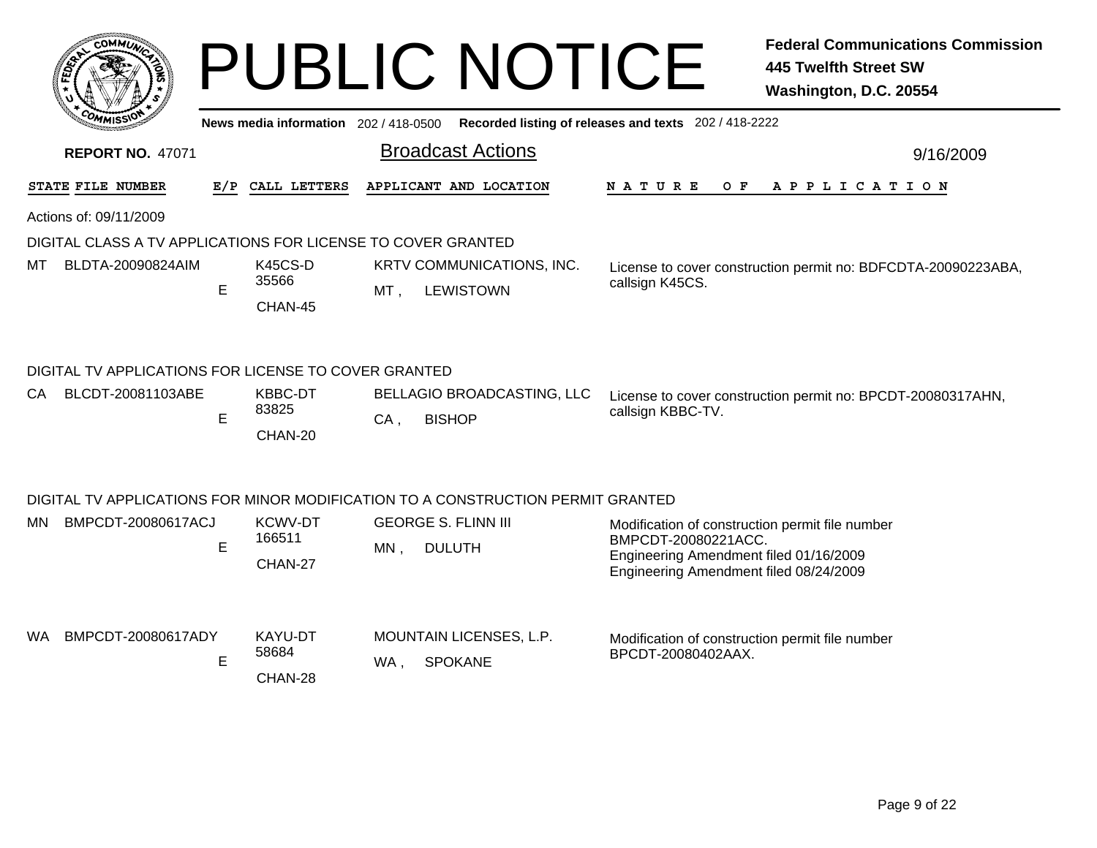|     | <b>COMMUX</b>                                                |     |                                     |        | <b>PUBLIC NOTICE</b>                                                            |                                                                                                                                                            | <b>Federal Communications Commission</b><br><b>445 Twelfth Street SW</b><br>Washington, D.C. 20554 |  |  |  |  |
|-----|--------------------------------------------------------------|-----|-------------------------------------|--------|---------------------------------------------------------------------------------|------------------------------------------------------------------------------------------------------------------------------------------------------------|----------------------------------------------------------------------------------------------------|--|--|--|--|
|     |                                                              |     | News media information 202/418-0500 |        |                                                                                 | Recorded listing of releases and texts 202 / 418-2222                                                                                                      |                                                                                                    |  |  |  |  |
|     | <b>REPORT NO. 47071</b>                                      |     |                                     |        | <b>Broadcast Actions</b>                                                        | 9/16/2009                                                                                                                                                  |                                                                                                    |  |  |  |  |
|     | STATE FILE NUMBER                                            | E/P | CALL LETTERS                        |        | APPLICANT AND LOCATION                                                          | N A T U R E<br>O F                                                                                                                                         | A P P L I C A T I O N                                                                              |  |  |  |  |
|     | Actions of: 09/11/2009                                       |     |                                     |        |                                                                                 |                                                                                                                                                            |                                                                                                    |  |  |  |  |
|     | DIGITAL CLASS A TV APPLICATIONS FOR LICENSE TO COVER GRANTED |     |                                     |        |                                                                                 |                                                                                                                                                            |                                                                                                    |  |  |  |  |
| MТ  | BLDTA-20090824AIM                                            | E   | K45CS-D<br>35566<br>CHAN-45         | MT ,   | KRTV COMMUNICATIONS, INC.<br><b>LEWISTOWN</b>                                   | callsign K45CS.                                                                                                                                            | License to cover construction permit no: BDFCDTA-20090223ABA,                                      |  |  |  |  |
|     | DIGITAL TV APPLICATIONS FOR LICENSE TO COVER GRANTED         |     |                                     |        |                                                                                 |                                                                                                                                                            |                                                                                                    |  |  |  |  |
| CA. | BLCDT-20081103ABE                                            | E   | KBBC-DT<br>83825<br>CHAN-20         | $CA$ , | <b>BELLAGIO BROADCASTING, LLC</b><br><b>BISHOP</b>                              | callsign KBBC-TV.                                                                                                                                          | License to cover construction permit no: BPCDT-20080317AHN,                                        |  |  |  |  |
|     |                                                              |     |                                     |        | DIGITAL TV APPLICATIONS FOR MINOR MODIFICATION TO A CONSTRUCTION PERMIT GRANTED |                                                                                                                                                            |                                                                                                    |  |  |  |  |
| MN. | BMPCDT-20080617ACJ                                           | E   | KCWV-DT<br>166511<br>CHAN-27        | MN,    | <b>GEORGE S. FLINN III</b><br><b>DULUTH</b>                                     | Modification of construction permit file number<br>BMPCDT-20080221ACC.<br>Engineering Amendment filed 01/16/2009<br>Engineering Amendment filed 08/24/2009 |                                                                                                    |  |  |  |  |
| WA. | BMPCDT-20080617ADY                                           | E   | KAYU-DT<br>58684<br>CHAN-28         | WA .   | MOUNTAIN LICENSES, L.P.<br><b>SPOKANE</b>                                       | Modification of construction permit file number<br>BPCDT-20080402AAX.                                                                                      |                                                                                                    |  |  |  |  |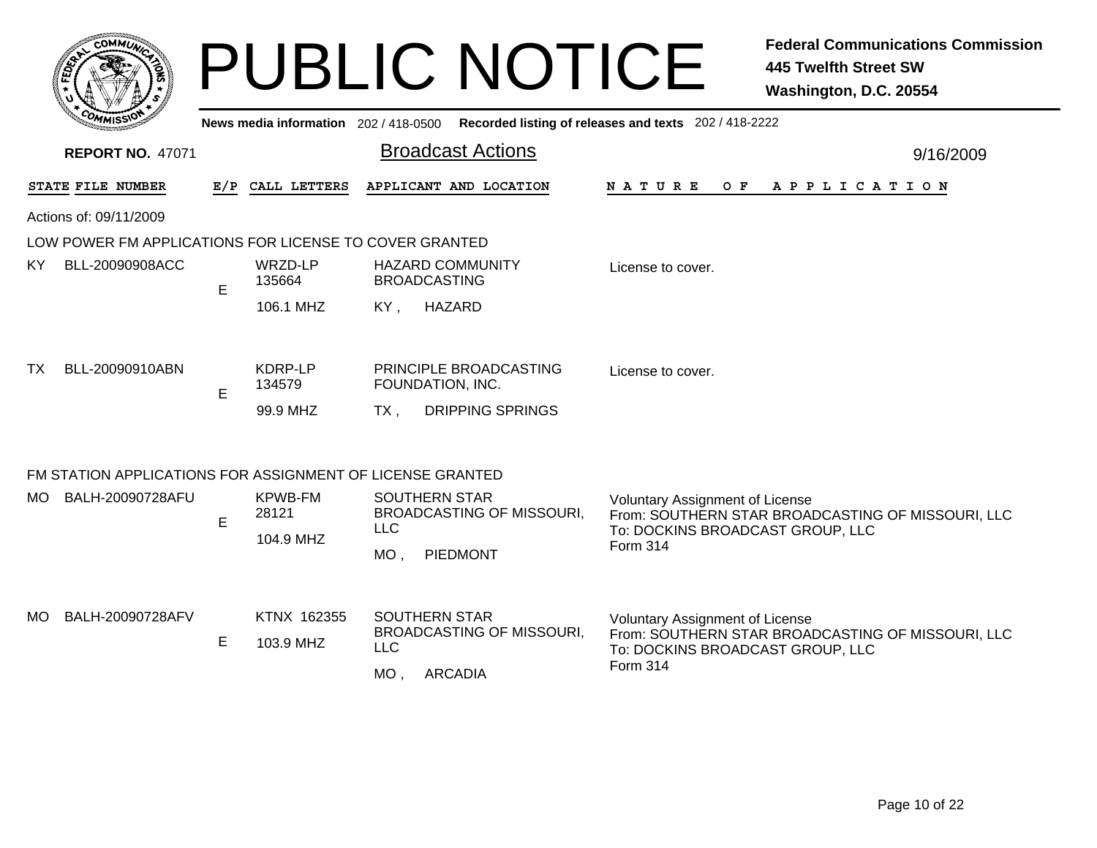|      | <b>COMMU</b>                                           |   |                                       | <b>PUBLIC NOTICE</b>                                                                         | <b>Federal Communications Commission</b><br><b>445 Twelfth Street SW</b><br>Washington, D.C. 20554                                          |
|------|--------------------------------------------------------|---|---------------------------------------|----------------------------------------------------------------------------------------------|---------------------------------------------------------------------------------------------------------------------------------------------|
|      | <b>REPORT NO. 47071</b>                                |   | News media information 202 / 418-0500 | <b>Broadcast Actions</b>                                                                     | Recorded listing of releases and texts 202 / 418-2222<br>9/16/2009                                                                          |
|      |                                                        |   |                                       | APPLICANT AND LOCATION                                                                       | O F                                                                                                                                         |
|      | STATE FILE NUMBER<br>Actions of: 09/11/2009            |   | E/P CALL LETTERS                      |                                                                                              | N A T U R E<br>A P P L I C A T I O N                                                                                                        |
|      | LOW POWER FM APPLICATIONS FOR LICENSE TO COVER GRANTED |   |                                       |                                                                                              |                                                                                                                                             |
| KY.  | BLL-20090908ACC                                        | E | WRZD-LP<br>135664                     | <b>HAZARD COMMUNITY</b><br><b>BROADCASTING</b>                                               | License to cover.                                                                                                                           |
|      |                                                        |   | 106.1 MHZ                             | HAZARD<br>KY,                                                                                |                                                                                                                                             |
| TX   | BLL-20090910ABN                                        | E | KDRP-LP<br>134579                     | PRINCIPLE BROADCASTING<br>FOUNDATION, INC.                                                   | License to cover.                                                                                                                           |
|      |                                                        |   | 99.9 MHZ                              | <b>DRIPPING SPRINGS</b><br>TX .                                                              |                                                                                                                                             |
|      |                                                        |   |                                       | FM STATION APPLICATIONS FOR ASSIGNMENT OF LICENSE GRANTED                                    |                                                                                                                                             |
| MO l | BALH-20090728AFU                                       | E | <b>KPWB-FM</b><br>28121<br>104.9 MHZ  | <b>SOUTHERN STAR</b><br><b>BROADCASTING OF MISSOURI,</b><br><b>LLC</b><br>PIEDMONT<br>$MO$ , | <b>Voluntary Assignment of License</b><br>From: SOUTHERN STAR BROADCASTING OF MISSOURI, LLC<br>To: DOCKINS BROADCAST GROUP, LLC<br>Form 314 |
| MO.  | BALH-20090728AFV                                       | Е | KTNX 162355<br>103.9 MHZ              | <b>SOUTHERN STAR</b><br>BROADCASTING OF MISSOURI,<br><b>LLC</b><br>$MO$ ,<br><b>ARCADIA</b>  | <b>Voluntary Assignment of License</b><br>From: SOUTHERN STAR BROADCASTING OF MISSOURI, LLC<br>To: DOCKINS BROADCAST GROUP, LLC<br>Form 314 |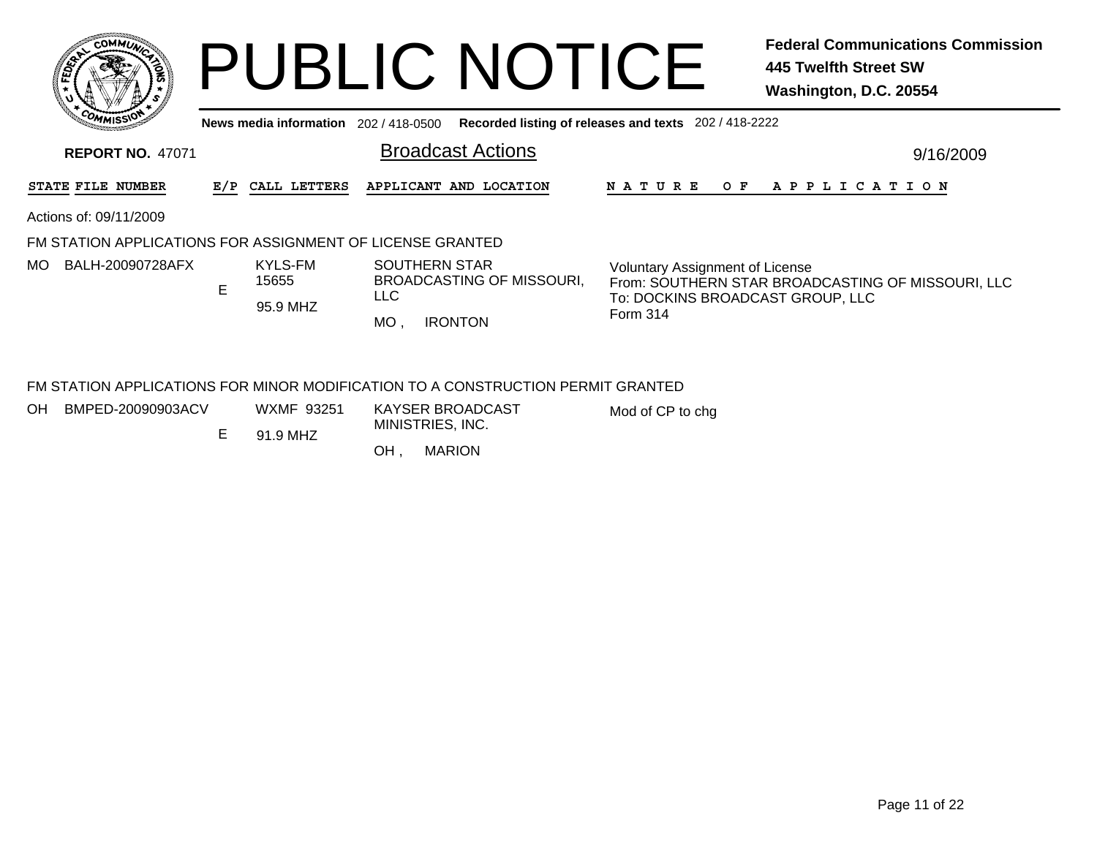|       | COMMUNI<br>¢   |  |
|-------|----------------|--|
| FEDEY | c              |  |
|       | 7              |  |
|       | <b>COMMISS</b> |  |

## PUBLIC NOTICE **Federal Communications Commission 445 Twelfth Street SW Washington, D.C. 20554**

**News media information** 202 / 418-0500**Recorded listing of releases and texts** 202 / 418-2222

| <b>REPORT NO. 47071</b>                                   |   |                              | <b>Broadcast Actions</b>                                                        | 9/16/2009                                                                                                                       |  |  |  |  |
|-----------------------------------------------------------|---|------------------------------|---------------------------------------------------------------------------------|---------------------------------------------------------------------------------------------------------------------------------|--|--|--|--|
| STATE FILE NUMBER                                         |   | E/P CALL LETTERS             | APPLICANT AND LOCATION                                                          | N A T U R E<br>O F<br>A P P L I C A T I O N                                                                                     |  |  |  |  |
| Actions of: 09/11/2009                                    |   |                              |                                                                                 |                                                                                                                                 |  |  |  |  |
| FM STATION APPLICATIONS FOR ASSIGNMENT OF LICENSE GRANTED |   |                              |                                                                                 |                                                                                                                                 |  |  |  |  |
| BALH-20090728AFX<br>MO.                                   | E | KYLS-FM<br>15655<br>95.9 MHZ | <b>SOUTHERN STAR</b><br>BROADCASTING OF MISSOURI.<br><b>LLC</b>                 | <b>Voluntary Assignment of License</b><br>From: SOUTHERN STAR BROADCASTING OF MISSOURI, LLC<br>To: DOCKINS BROADCAST GROUP. LLC |  |  |  |  |
|                                                           |   |                              | МO<br><b>IRONTON</b>                                                            | Form 314                                                                                                                        |  |  |  |  |
|                                                           |   |                              | FM STATION APPLICATIONS FOR MINOR MODIFICATION TO A CONSTRUCTION PERMIT GRANTED |                                                                                                                                 |  |  |  |  |

OHBMPED-20090903ACV WXMF 93251

E

Mod of CP to chg

 91.9 MHZMINISTRIES, INC.

**MARION** OH

KAYSER BROADCAST

Page 11 of 22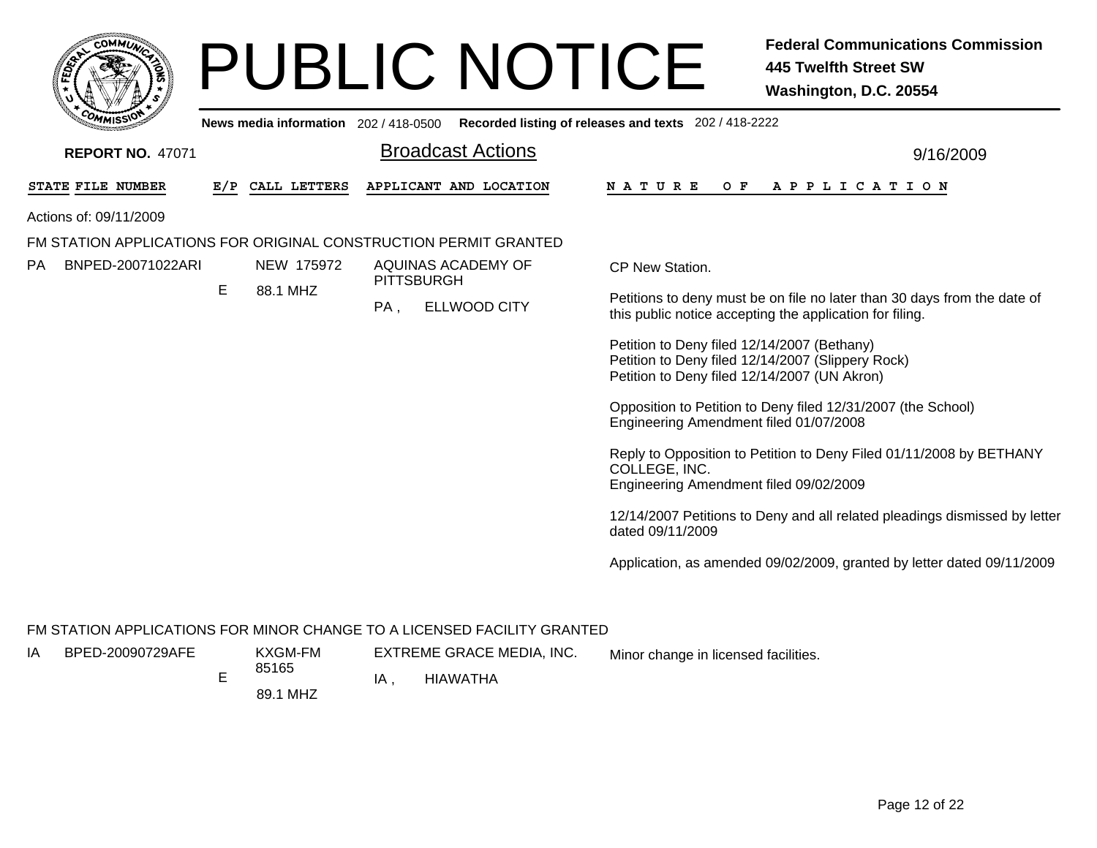| <b>COMMUNI</b>                                                   |     |                                       |                   |                          | <b>PUBLIC NOTICE</b>                                    | <b>Federal Communications Commission</b><br><b>445 Twelfth Street SW</b><br>Washington, D.C. 20554                                               |
|------------------------------------------------------------------|-----|---------------------------------------|-------------------|--------------------------|---------------------------------------------------------|--------------------------------------------------------------------------------------------------------------------------------------------------|
|                                                                  |     | News media information 202 / 418-0500 |                   |                          | Recorded listing of releases and texts 202 / 418-2222   |                                                                                                                                                  |
| <b>REPORT NO. 47071</b>                                          |     |                                       |                   | <b>Broadcast Actions</b> |                                                         | 9/16/2009                                                                                                                                        |
| STATE FILE NUMBER                                                | E/P | CALL LETTERS                          |                   | APPLICANT AND LOCATION   | N A T U R E<br>O F                                      | A P P L I C A T I O N                                                                                                                            |
| Actions of: 09/11/2009                                           |     |                                       |                   |                          |                                                         |                                                                                                                                                  |
| FM STATION APPLICATIONS FOR ORIGINAL CONSTRUCTION PERMIT GRANTED |     |                                       |                   |                          |                                                         |                                                                                                                                                  |
| PA<br>BNPED-20071022ARI                                          |     | NEW 175972                            | <b>PITTSBURGH</b> | AQUINAS ACADEMY OF       | CP New Station.                                         |                                                                                                                                                  |
|                                                                  | E   | 88.1 MHZ                              | PA,               | <b>ELLWOOD CITY</b>      |                                                         | Petitions to deny must be on file no later than 30 days from the date of<br>this public notice accepting the application for filing.             |
|                                                                  |     |                                       |                   |                          |                                                         | Petition to Deny filed 12/14/2007 (Bethany)<br>Petition to Deny filed 12/14/2007 (Slippery Rock)<br>Petition to Deny filed 12/14/2007 (UN Akron) |
|                                                                  |     |                                       |                   |                          | Engineering Amendment filed 01/07/2008                  | Opposition to Petition to Deny filed 12/31/2007 (the School)                                                                                     |
|                                                                  |     |                                       |                   |                          | COLLEGE, INC.<br>Engineering Amendment filed 09/02/2009 | Reply to Opposition to Petition to Deny Filed 01/11/2008 by BETHANY                                                                              |
|                                                                  |     |                                       |                   |                          | dated 09/11/2009                                        | 12/14/2007 Petitions to Deny and all related pleadings dismissed by letter                                                                       |
|                                                                  |     |                                       |                   |                          |                                                         | Application, as amended 09/02/2009, granted by letter dated 09/11/2009                                                                           |

### FM STATION APPLICATIONS FOR MINOR CHANGE TO A LICENSED FACILITY GRANTED

- E85165 IABPED-20090729AFE
- KXGM-FM

EXTREME GRACE MEDIA, INC. Minor change in licensed facilities.

89.1 MHZE IA

, HIAWATHA

Page 12 of 22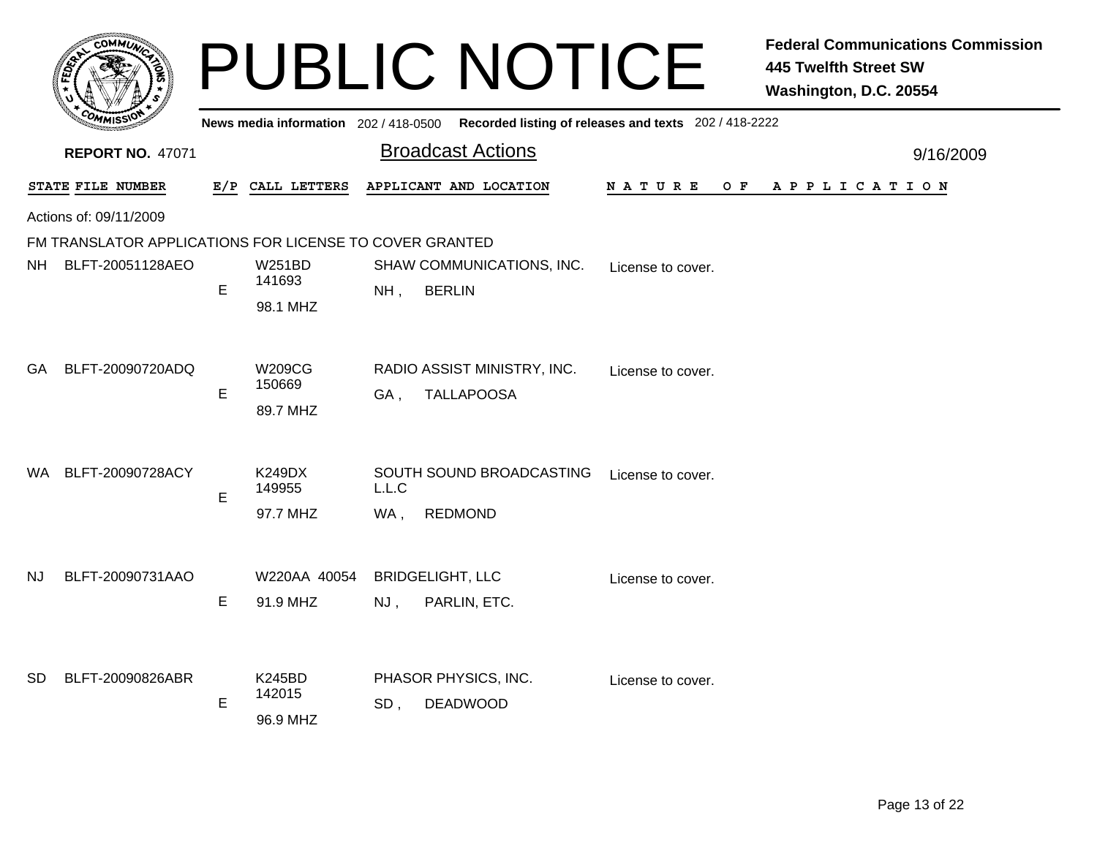|           |                                                         |     |                                     |                                                         | <b>PUBLIC NOTICE</b>      |                                                                                             | <b>Federal Communications Commission</b><br><b>445 Twelfth Street SW</b><br>Washington, D.C. 20554 |
|-----------|---------------------------------------------------------|-----|-------------------------------------|---------------------------------------------------------|---------------------------|---------------------------------------------------------------------------------------------|----------------------------------------------------------------------------------------------------|
|           |                                                         |     |                                     |                                                         |                           | News media information 202 / 418-0500 Recorded listing of releases and texts 202 / 418-2222 |                                                                                                    |
|           | <b>REPORT NO. 47071</b>                                 |     |                                     | <b>Broadcast Actions</b>                                |                           |                                                                                             | 9/16/2009                                                                                          |
|           | STATE FILE NUMBER                                       | E/P | CALL LETTERS                        | APPLICANT AND LOCATION                                  |                           | N A T U R E<br>O F                                                                          | A P P L I C A T I O N                                                                              |
|           | Actions of: 09/11/2009                                  |     |                                     |                                                         |                           |                                                                                             |                                                                                                    |
|           | FM TRANSLATOR APPLICATIONS FOR LICENSE TO COVER GRANTED |     |                                     |                                                         |                           |                                                                                             |                                                                                                    |
| NH .      | BLFT-20051128AEO                                        | E   | <b>W251BD</b><br>141693<br>98.1 MHZ | <b>BERLIN</b><br>NH,                                    | SHAW COMMUNICATIONS, INC. | License to cover.                                                                           |                                                                                                    |
| GA        | BLFT-20090720ADQ                                        | E   | W209CG<br>150669<br>89.7 MHZ        | RADIO ASSIST MINISTRY, INC.<br><b>TALLAPOOSA</b><br>GA, |                           | License to cover.                                                                           |                                                                                                    |
| WA        | BLFT-20090728ACY                                        | E   | <b>K249DX</b><br>149955<br>97.7 MHZ | L.L.C<br><b>REDMOND</b><br>WA,                          | SOUTH SOUND BROADCASTING  | License to cover.                                                                           |                                                                                                    |
| <b>NJ</b> | BLFT-20090731AAO                                        | E   | W220AA 40054<br>91.9 MHZ            | <b>BRIDGELIGHT, LLC</b><br>PARLIN, ETC.<br>NJ,          |                           | License to cover.                                                                           |                                                                                                    |
| SD        | BLFT-20090826ABR                                        | E   | K245BD<br>142015<br>96.9 MHZ        | PHASOR PHYSICS, INC.<br><b>DEADWOOD</b><br>SD,          |                           | License to cover.                                                                           |                                                                                                    |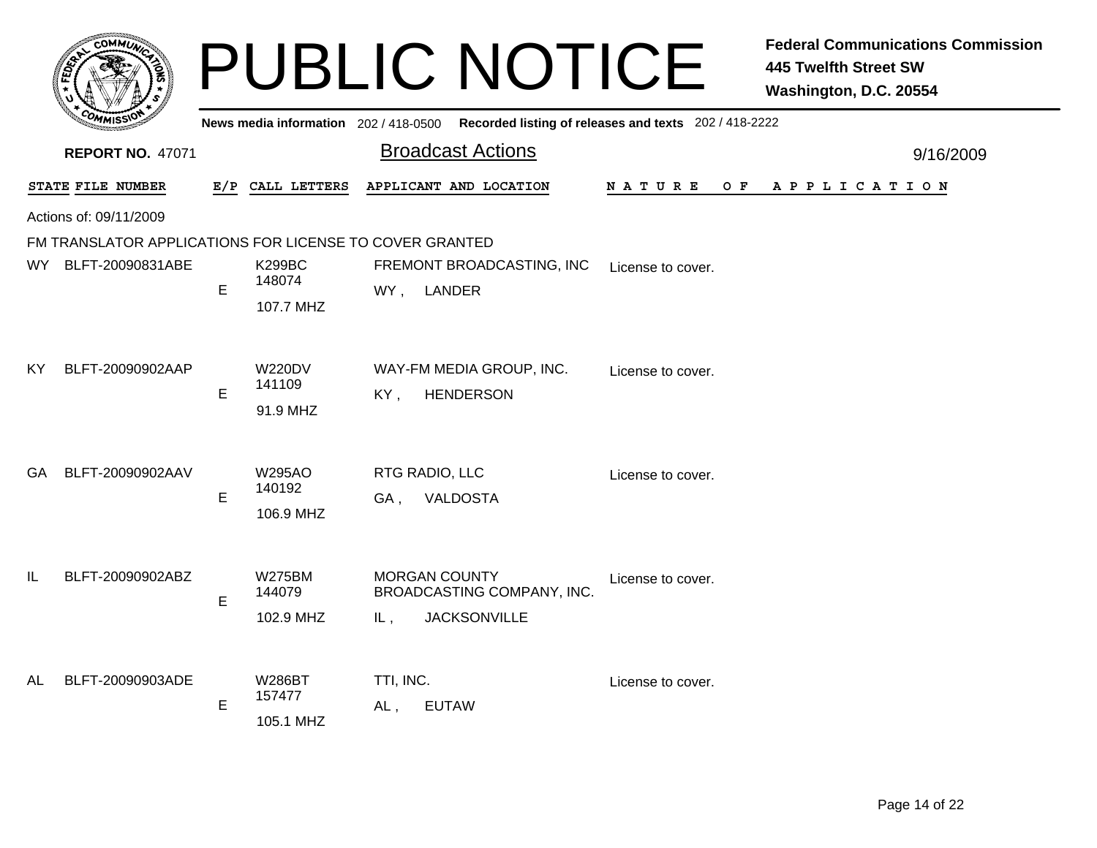|      | -оммл                                                   |     |                                      | <b>PUBLIC NOTICE</b>                                                             |                    | <b>Federal Communications Commission</b><br><b>445 Twelfth Street SW</b><br>Washington, D.C. 20554 |
|------|---------------------------------------------------------|-----|--------------------------------------|----------------------------------------------------------------------------------|--------------------|----------------------------------------------------------------------------------------------------|
|      |                                                         |     | News media information 202/418-0500  | Recorded listing of releases and texts 202 / 418-2222                            |                    |                                                                                                    |
|      | <b>REPORT NO. 47071</b>                                 |     |                                      | <b>Broadcast Actions</b>                                                         |                    | 9/16/2009                                                                                          |
|      | STATE FILE NUMBER                                       | E/P | CALL LETTERS                         | APPLICANT AND LOCATION                                                           | N A T U R E<br>O F | A P P L I C A T I O N                                                                              |
|      | Actions of: 09/11/2009                                  |     |                                      |                                                                                  |                    |                                                                                                    |
|      | FM TRANSLATOR APPLICATIONS FOR LICENSE TO COVER GRANTED |     |                                      |                                                                                  |                    |                                                                                                    |
| WY _ | BLFT-20090831ABE                                        | E   | <b>K299BC</b><br>148074<br>107.7 MHZ | FREMONT BROADCASTING, INC<br>LANDER<br>WY,                                       | License to cover.  |                                                                                                    |
| ΚY   | BLFT-20090902AAP                                        | E   | <b>W220DV</b><br>141109<br>91.9 MHZ  | WAY-FM MEDIA GROUP, INC.<br>KY,<br><b>HENDERSON</b>                              | License to cover.  |                                                                                                    |
| GA   | BLFT-20090902AAV                                        | E   | <b>W295AO</b><br>140192<br>106.9 MHZ | RTG RADIO, LLC<br><b>VALDOSTA</b><br>GA.                                         | License to cover.  |                                                                                                    |
| IL   | BLFT-20090902ABZ                                        | E   | <b>W275BM</b><br>144079<br>102.9 MHZ | <b>MORGAN COUNTY</b><br>BROADCASTING COMPANY, INC.<br><b>JACKSONVILLE</b><br>IL, | License to cover.  |                                                                                                    |
| AL   | BLFT-20090903ADE                                        | E   | <b>W286BT</b><br>157477<br>105.1 MHZ | TTI, INC.<br><b>EUTAW</b><br>AL,                                                 | License to cover.  |                                                                                                    |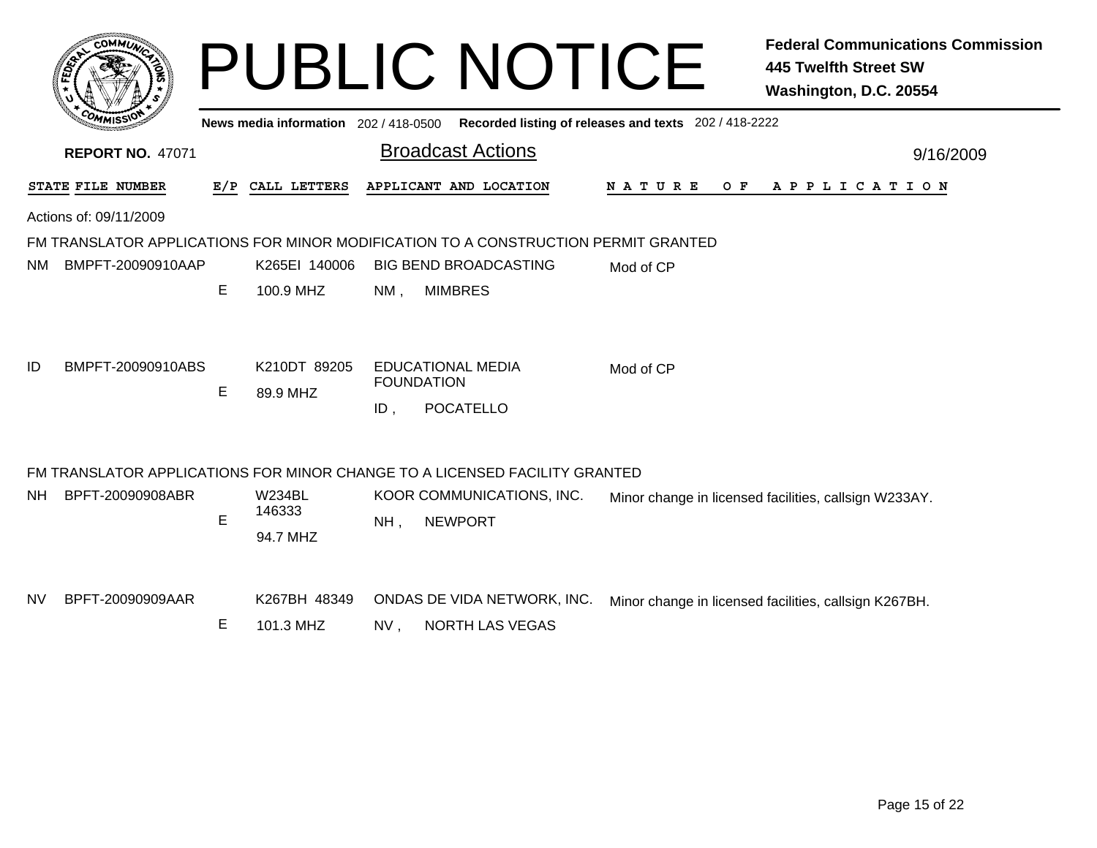|           | COMMUN                  |     | News media information 202 / 418-0500 |                   | <b>PUBLIC NOTICE</b>                                                               | Recorded listing of releases and texts 202 / 418-2222 | <b>Federal Communications Commission</b><br><b>445 Twelfth Street SW</b><br>Washington, D.C. 20554 |
|-----------|-------------------------|-----|---------------------------------------|-------------------|------------------------------------------------------------------------------------|-------------------------------------------------------|----------------------------------------------------------------------------------------------------|
|           | <b>REPORT NO. 47071</b> |     |                                       |                   | <b>Broadcast Actions</b>                                                           |                                                       | 9/16/2009                                                                                          |
|           | STATE FILE NUMBER       | E/P | CALL LETTERS                          |                   | APPLICANT AND LOCATION                                                             | NATURE<br>O F                                         | A P P L I C A T I O N                                                                              |
|           | Actions of: 09/11/2009  |     |                                       |                   |                                                                                    |                                                       |                                                                                                    |
|           |                         |     |                                       |                   | FM TRANSLATOR APPLICATIONS FOR MINOR MODIFICATION TO A CONSTRUCTION PERMIT GRANTED |                                                       |                                                                                                    |
| NM.       | BMPFT-20090910AAP       |     | K265EI 140006                         |                   | <b>BIG BEND BROADCASTING</b>                                                       | Mod of CP                                             |                                                                                                    |
|           |                         | E   | 100.9 MHZ                             | $NM$ ,            | <b>MIMBRES</b>                                                                     |                                                       |                                                                                                    |
| ID        | BMPFT-20090910ABS       | E   | K210DT 89205<br>89.9 MHZ              | <b>FOUNDATION</b> | <b>EDUCATIONAL MEDIA</b>                                                           | Mod of CP                                             |                                                                                                    |
|           |                         |     |                                       | $ID$ ,            | <b>POCATELLO</b>                                                                   |                                                       |                                                                                                    |
|           |                         |     |                                       |                   | FM TRANSLATOR APPLICATIONS FOR MINOR CHANGE TO A LICENSED FACILITY GRANTED         |                                                       |                                                                                                    |
| <b>NH</b> | BPFT-20090908ABR        | E   | <b>W234BL</b><br>146333<br>94.7 MHZ   | $NH$ ,            | KOOR COMMUNICATIONS, INC.<br><b>NEWPORT</b>                                        |                                                       | Minor change in licensed facilities, callsign W233AY.                                              |
|           |                         |     |                                       |                   |                                                                                    |                                                       |                                                                                                    |
| <b>NV</b> | BPFT-20090909AAR        |     | K267BH 48349                          |                   | ONDAS DE VIDA NETWORK, INC.                                                        |                                                       | Minor change in licensed facilities, callsign K267BH.                                              |
|           |                         | Е   | 101.3 MHZ                             | NV,               | NORTH LAS VEGAS                                                                    |                                                       |                                                                                                    |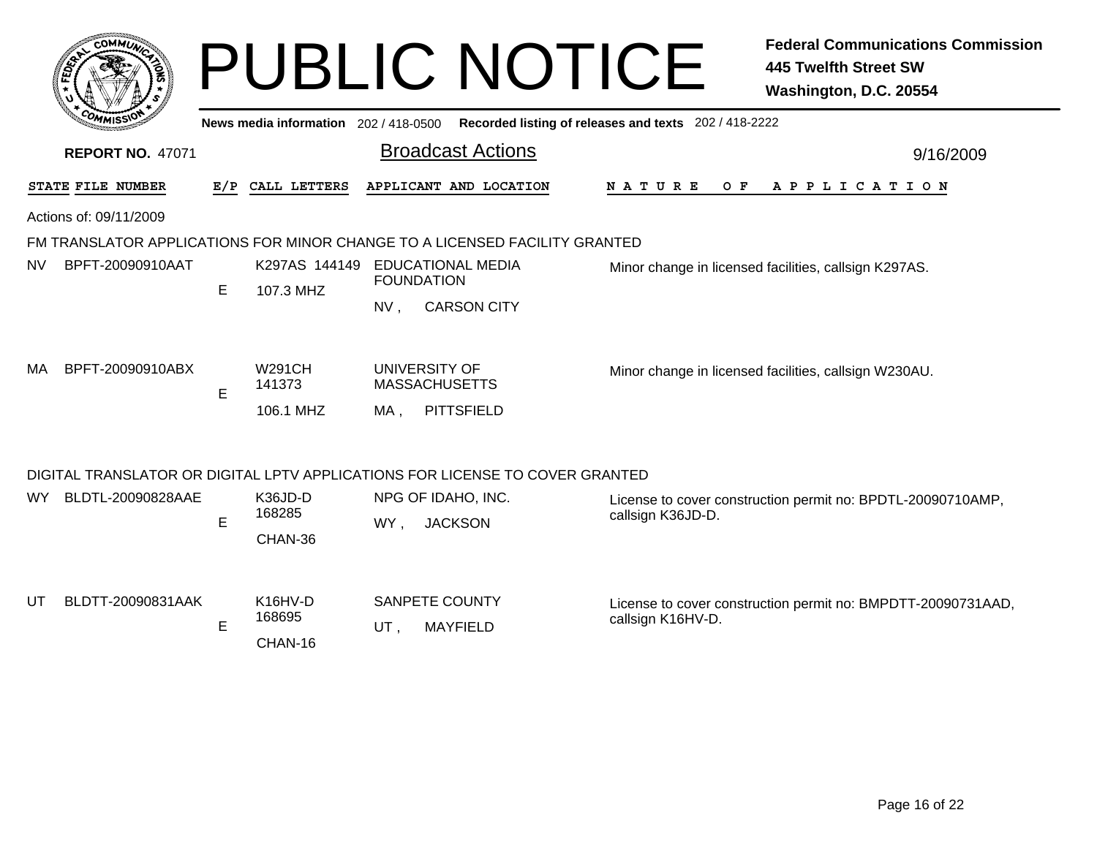|     | <b>COMMIT</b>                                                                                  |     |                              |                 | <b>PUBLIC NOTICE</b>                                                         |                                                       | <b>Federal Communications Commission</b><br><b>445 Twelfth Street SW</b><br>Washington, D.C. 20554 |  |  |  |  |  |
|-----|------------------------------------------------------------------------------------------------|-----|------------------------------|-----------------|------------------------------------------------------------------------------|-------------------------------------------------------|----------------------------------------------------------------------------------------------------|--|--|--|--|--|
|     | News media information 202 / 418-0500<br>Recorded listing of releases and texts 202 / 418-2222 |     |                              |                 |                                                                              |                                                       |                                                                                                    |  |  |  |  |  |
|     | <b>Broadcast Actions</b><br><b>REPORT NO. 47071</b><br>9/16/2009                               |     |                              |                 |                                                                              |                                                       |                                                                                                    |  |  |  |  |  |
|     | STATE FILE NUMBER                                                                              | E/P | CALL LETTERS                 |                 | APPLICANT AND LOCATION                                                       | N A T U R E<br>O F                                    | A P P L I C A T I O N                                                                              |  |  |  |  |  |
|     | Actions of: 09/11/2009                                                                         |     |                              |                 |                                                                              |                                                       |                                                                                                    |  |  |  |  |  |
|     |                                                                                                |     |                              |                 | FM TRANSLATOR APPLICATIONS FOR MINOR CHANGE TO A LICENSED FACILITY GRANTED   |                                                       |                                                                                                    |  |  |  |  |  |
| NV. | BPFT-20090910AAT                                                                               |     | K297AS 144149                |                 | <b>EDUCATIONAL MEDIA</b><br><b>FOUNDATION</b>                                | Minor change in licensed facilities, callsign K297AS. |                                                                                                    |  |  |  |  |  |
|     |                                                                                                | E   | 107.3 MHZ                    | NV <sub>1</sub> | <b>CARSON CITY</b>                                                           |                                                       |                                                                                                    |  |  |  |  |  |
| МA  | BPFT-20090910ABX                                                                               |     | <b>W291CH</b><br>141373      |                 | UNIVERSITY OF<br><b>MASSACHUSETTS</b>                                        | Minor change in licensed facilities, callsign W230AU. |                                                                                                    |  |  |  |  |  |
|     |                                                                                                | E   | 106.1 MHZ                    | MA.             | <b>PITTSFIELD</b>                                                            |                                                       |                                                                                                    |  |  |  |  |  |
|     |                                                                                                |     |                              |                 | DIGITAL TRANSLATOR OR DIGITAL LPTV APPLICATIONS FOR LICENSE TO COVER GRANTED |                                                       |                                                                                                    |  |  |  |  |  |
| WY  | BLDTL-20090828AAE                                                                              |     | K36JD-D<br>168285            |                 | NPG OF IDAHO, INC.                                                           | callsign K36JD-D.                                     | License to cover construction permit no: BPDTL-20090710AMP,                                        |  |  |  |  |  |
|     |                                                                                                | E   | CHAN-36                      | WY,             | <b>JACKSON</b>                                                               |                                                       |                                                                                                    |  |  |  |  |  |
| UT  | BLDTT-20090831AAK                                                                              | E   | K16HV-D<br>168695<br>CHAN-16 | UT,             | <b>SANPETE COUNTY</b><br><b>MAYFIELD</b>                                     | callsign K16HV-D.                                     | License to cover construction permit no: BMPDTT-20090731AAD,                                       |  |  |  |  |  |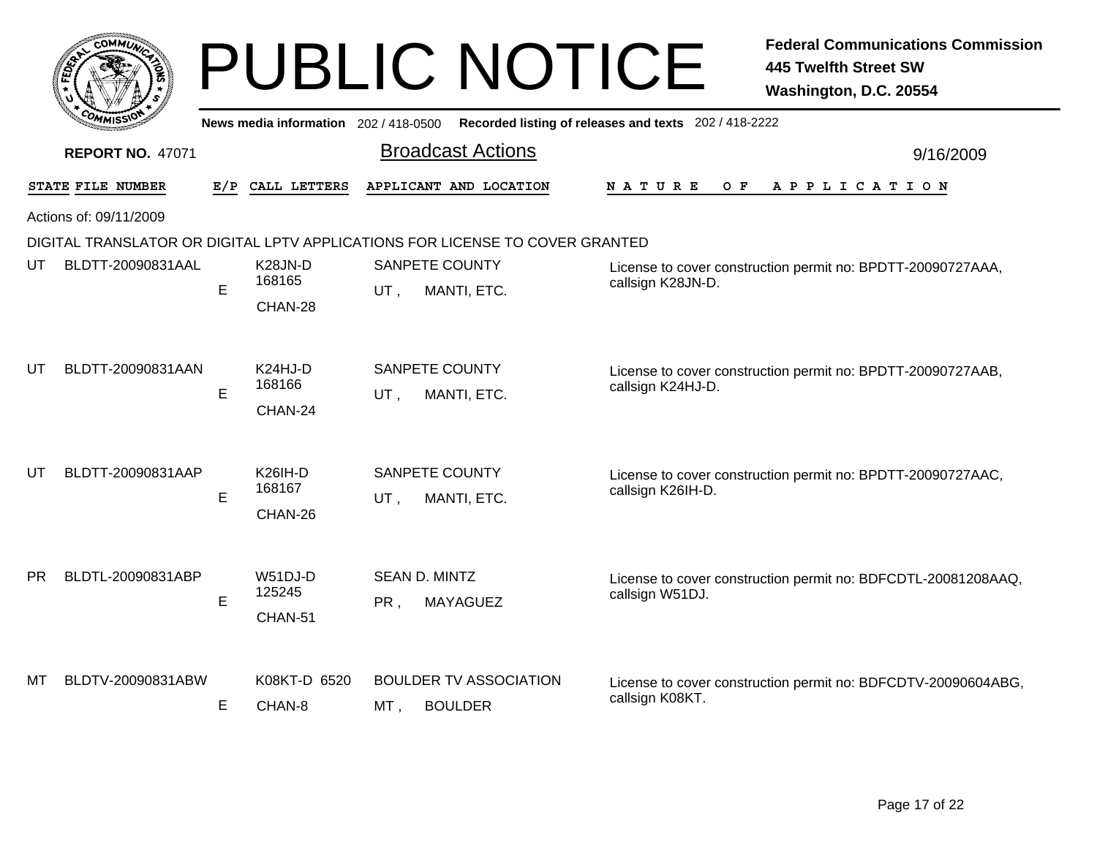|           | сомм $\vec{\bm{\omega}}$ |     |                                     |      | <b>PUBLIC NOTICE</b>                                                         |                   |                                                             | <b>Federal Communications Commission</b><br><b>445 Twelfth Street SW</b><br>Washington, D.C. 20554 |  |
|-----------|--------------------------|-----|-------------------------------------|------|------------------------------------------------------------------------------|-------------------|-------------------------------------------------------------|----------------------------------------------------------------------------------------------------|--|
|           |                          |     | News media information 202/418-0500 |      | Recorded listing of releases and texts 202 / 418-2222                        |                   |                                                             |                                                                                                    |  |
|           | <b>REPORT NO. 47071</b>  |     |                                     |      | <b>Broadcast Actions</b>                                                     |                   | 9/16/2009                                                   |                                                                                                    |  |
|           | STATE FILE NUMBER        | E/P | CALL LETTERS                        |      | APPLICANT AND LOCATION                                                       | N A T U R E       | O F                                                         | A P P L I C A T I O N                                                                              |  |
|           | Actions of: 09/11/2009   |     |                                     |      |                                                                              |                   |                                                             |                                                                                                    |  |
|           |                          |     |                                     |      | DIGITAL TRANSLATOR OR DIGITAL LPTV APPLICATIONS FOR LICENSE TO COVER GRANTED |                   |                                                             |                                                                                                    |  |
| UT        | BLDTT-20090831AAL        |     | K28JN-D                             |      | <b>SANPETE COUNTY</b>                                                        |                   | License to cover construction permit no: BPDTT-20090727AAA, |                                                                                                    |  |
|           |                          | E   | 168165<br>CHAN-28                   | UT,  | MANTI, ETC.                                                                  |                   | callsign K28JN-D.                                           |                                                                                                    |  |
| UT        | BLDTT-20090831AAN        | E   | K24HJ-D<br>168166<br>CHAN-24        | UT,  | <b>SANPETE COUNTY</b><br>MANTI, ETC.                                         | callsign K24HJ-D. |                                                             | License to cover construction permit no: BPDTT-20090727AAB,                                        |  |
| UT        | BLDTT-20090831AAP        | E   | <b>K26IH-D</b><br>168167<br>CHAN-26 | UT,  | <b>SANPETE COUNTY</b><br>MANTI, ETC.                                         | callsign K26IH-D. |                                                             | License to cover construction permit no: BPDTT-20090727AAC,                                        |  |
| <b>PR</b> | BLDTL-20090831ABP        | E   | W51DJ-D<br>125245<br>CHAN-51        | PR,  | SEAN D. MINTZ<br><b>MAYAGUEZ</b>                                             | callsign W51DJ.   |                                                             | License to cover construction permit no: BDFCDTL-20081208AAQ,                                      |  |
| мт        | BLDTV-20090831ABW        | E   | K08KT-D 6520<br>CHAN-8              | MT . | <b>BOULDER TV ASSOCIATION</b><br><b>BOULDER</b>                              | callsign K08KT.   |                                                             | License to cover construction permit no: BDFCDTV-20090604ABG,                                      |  |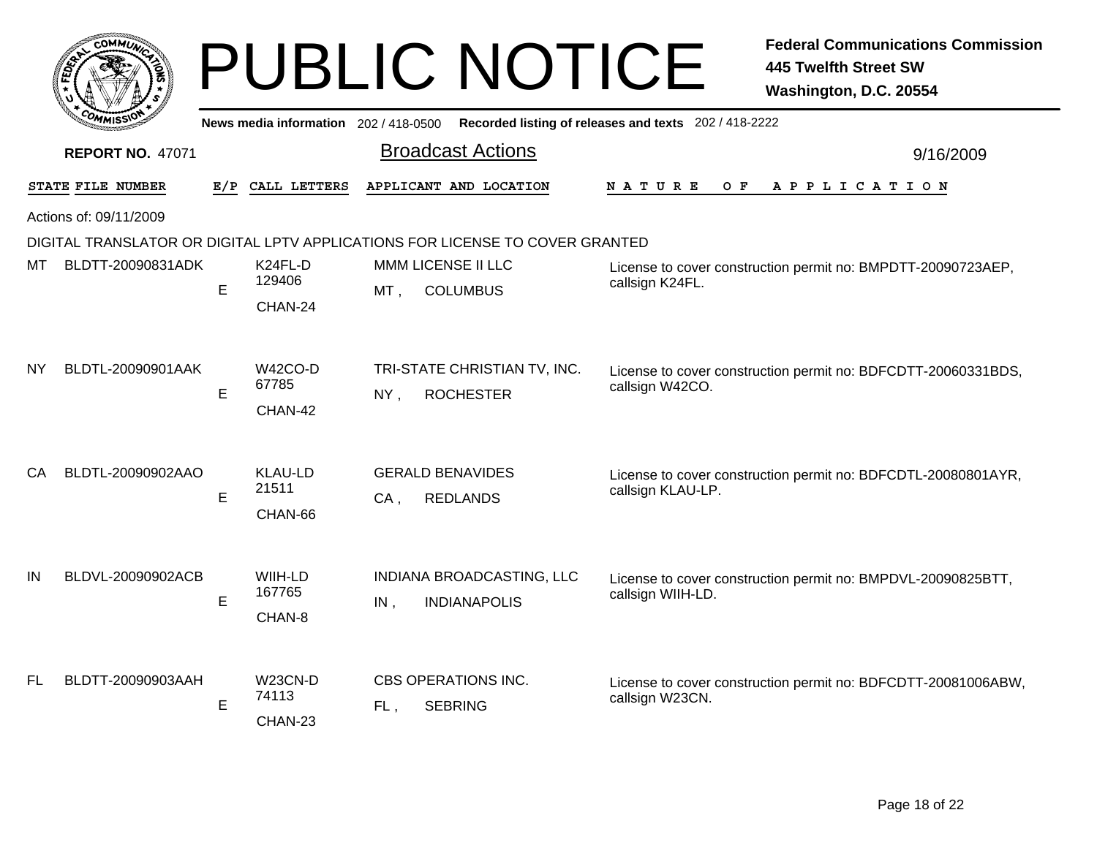|    |                         |     |                                               |        | <b>PUBLIC NOTICE</b>                                                         |                                                       | <b>Federal Communications Commission</b><br><b>445 Twelfth Street SW</b><br>Washington, D.C. 20554 |  |  |  |  |
|----|-------------------------|-----|-----------------------------------------------|--------|------------------------------------------------------------------------------|-------------------------------------------------------|----------------------------------------------------------------------------------------------------|--|--|--|--|
|    |                         |     | News media information $202/418-0500$         |        |                                                                              | Recorded listing of releases and texts 202 / 418-2222 |                                                                                                    |  |  |  |  |
|    | <b>REPORT NO. 47071</b> |     |                                               |        | <b>Broadcast Actions</b>                                                     |                                                       | 9/16/2009                                                                                          |  |  |  |  |
|    | STATE FILE NUMBER       | E/P | CALL LETTERS                                  |        | APPLICANT AND LOCATION                                                       | O F<br>N A T U R E                                    | A P P L I C A T I O N                                                                              |  |  |  |  |
|    | Actions of: 09/11/2009  |     |                                               |        |                                                                              |                                                       |                                                                                                    |  |  |  |  |
|    |                         |     |                                               |        | DIGITAL TRANSLATOR OR DIGITAL LPTV APPLICATIONS FOR LICENSE TO COVER GRANTED |                                                       |                                                                                                    |  |  |  |  |
| МΤ | BLDTT-20090831ADK       |     | K24FL-D                                       |        | MMM LICENSE II LLC                                                           |                                                       | License to cover construction permit no: BMPDTT-20090723AEP,                                       |  |  |  |  |
|    |                         | E   | 129406                                        | $MT$ , | <b>COLUMBUS</b>                                                              | callsign K24FL.                                       |                                                                                                    |  |  |  |  |
| NΥ | BLDTL-20090901AAK       | E   | CHAN-24<br>W42CO-D<br>67785                   | NY,    | TRI-STATE CHRISTIAN TV, INC.<br><b>ROCHESTER</b>                             | callsign W42CO.                                       | License to cover construction permit no: BDFCDTT-20060331BDS,                                      |  |  |  |  |
| CА | BLDTL-20090902AAO       | E   | CHAN-42<br><b>KLAU-LD</b><br>21511<br>CHAN-66 | $CA$ . | <b>GERALD BENAVIDES</b><br><b>REDLANDS</b>                                   | callsign KLAU-LP.                                     | License to cover construction permit no: BDFCDTL-20080801AYR,                                      |  |  |  |  |
| IN | BLDVL-20090902ACB       | E   | WIIH-LD<br>167765<br>CHAN-8                   | IN,    | INDIANA BROADCASTING, LLC<br><b>INDIANAPOLIS</b>                             | callsign WIIH-LD.                                     | License to cover construction permit no: BMPDVL-20090825BTT,                                       |  |  |  |  |
| FL | BLDTT-20090903AAH       | E   | <b>W23CN-D</b><br>74113<br>CHAN-23            | FL,    | CBS OPERATIONS INC.<br><b>SEBRING</b>                                        | callsign W23CN.                                       | License to cover construction permit no: BDFCDTT-20081006ABW,                                      |  |  |  |  |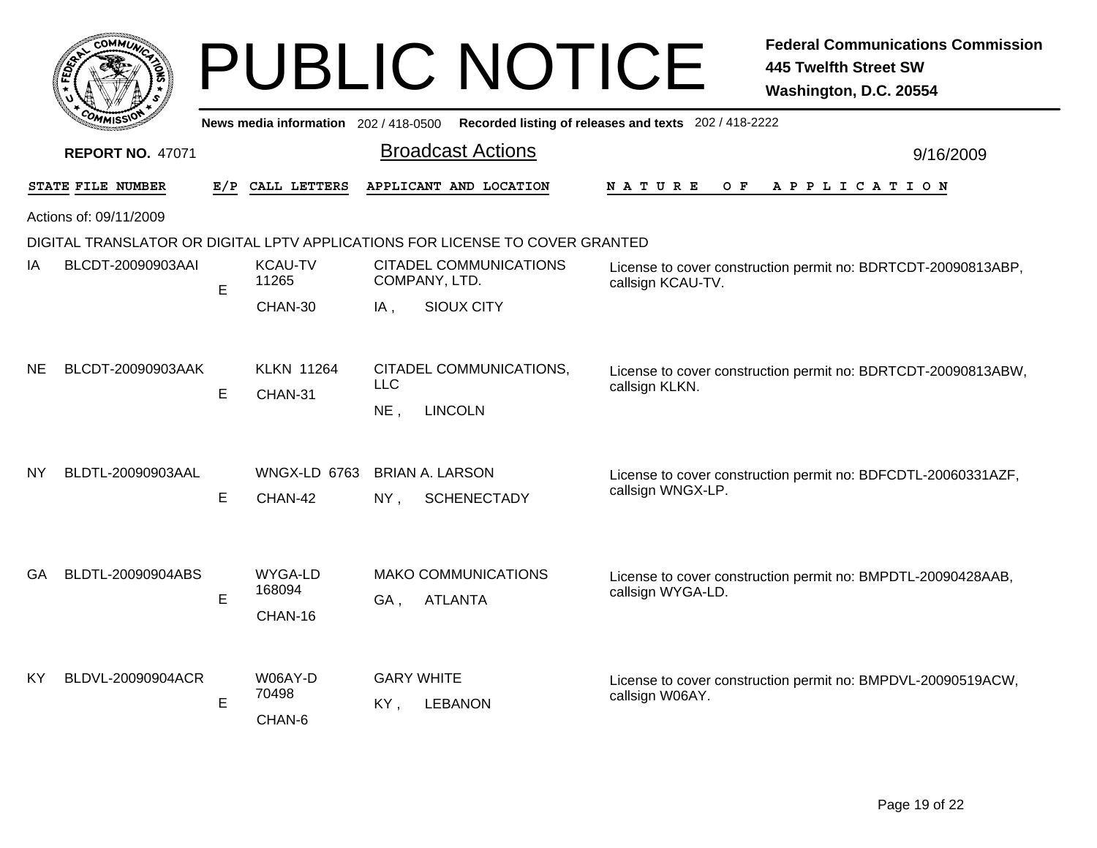|           |                         |     |                                     |                          | <b>PUBLIC NOTICE</b>                                                         |                                                                                    | <b>Federal Communications Commission</b><br><b>445 Twelfth Street SW</b><br>Washington, D.C. 20554 |  |
|-----------|-------------------------|-----|-------------------------------------|--------------------------|------------------------------------------------------------------------------|------------------------------------------------------------------------------------|----------------------------------------------------------------------------------------------------|--|
|           |                         |     | News media information 202/418-0500 |                          |                                                                              | Recorded listing of releases and texts 202 / 418-2222                              |                                                                                                    |  |
|           | <b>REPORT NO. 47071</b> |     |                                     |                          | <b>Broadcast Actions</b>                                                     |                                                                                    | 9/16/2009                                                                                          |  |
|           | STATE FILE NUMBER       | E/P | CALL LETTERS                        |                          | APPLICANT AND LOCATION                                                       | N A T U R E<br>O F                                                                 | A P P L I C A T I O N                                                                              |  |
|           | Actions of: 09/11/2009  |     |                                     |                          |                                                                              |                                                                                    |                                                                                                    |  |
|           |                         |     |                                     |                          | DIGITAL TRANSLATOR OR DIGITAL LPTV APPLICATIONS FOR LICENSE TO COVER GRANTED |                                                                                    |                                                                                                    |  |
| ΙA        | BLCDT-20090903AAI       | E   | <b>KCAU-TV</b><br>11265             | COMPANY, LTD.            | <b>CITADEL COMMUNICATIONS</b>                                                | License to cover construction permit no: BDRTCDT-20090813ABP,<br>callsign KCAU-TV. |                                                                                                    |  |
|           |                         |     | CHAN-30                             | IA,                      | <b>SIOUX CITY</b>                                                            |                                                                                    |                                                                                                    |  |
| <b>NE</b> | BLCDT-20090903AAK       | E   | <b>KLKN 11264</b><br>CHAN-31        | <b>LLC</b><br>NE,        | CITADEL COMMUNICATIONS,<br><b>LINCOLN</b>                                    | callsign KLKN.                                                                     | License to cover construction permit no: BDRTCDT-20090813ABW,                                      |  |
| ΝY        | BLDTL-20090903AAL       | E   | <b>WNGX-LD 6763</b><br>CHAN-42      | $NY$ ,                   | <b>BRIAN A. LARSON</b><br><b>SCHENECTADY</b>                                 | callsign WNGX-LP.                                                                  | License to cover construction permit no: BDFCDTL-20060331AZF,                                      |  |
| GA.       | BLDTL-20090904ABS       | E   | WYGA-LD<br>168094<br>CHAN-16        | GA.                      | <b>MAKO COMMUNICATIONS</b><br><b>ATLANTA</b>                                 | callsign WYGA-LD.                                                                  | License to cover construction permit no: BMPDTL-20090428AAB,                                       |  |
| KY        | BLDVL-20090904ACR       | E   | W06AY-D<br>70498<br>CHAN-6          | <b>GARY WHITE</b><br>KY, | <b>LEBANON</b>                                                               | callsign W06AY.                                                                    | License to cover construction permit no: BMPDVL-20090519ACW,                                       |  |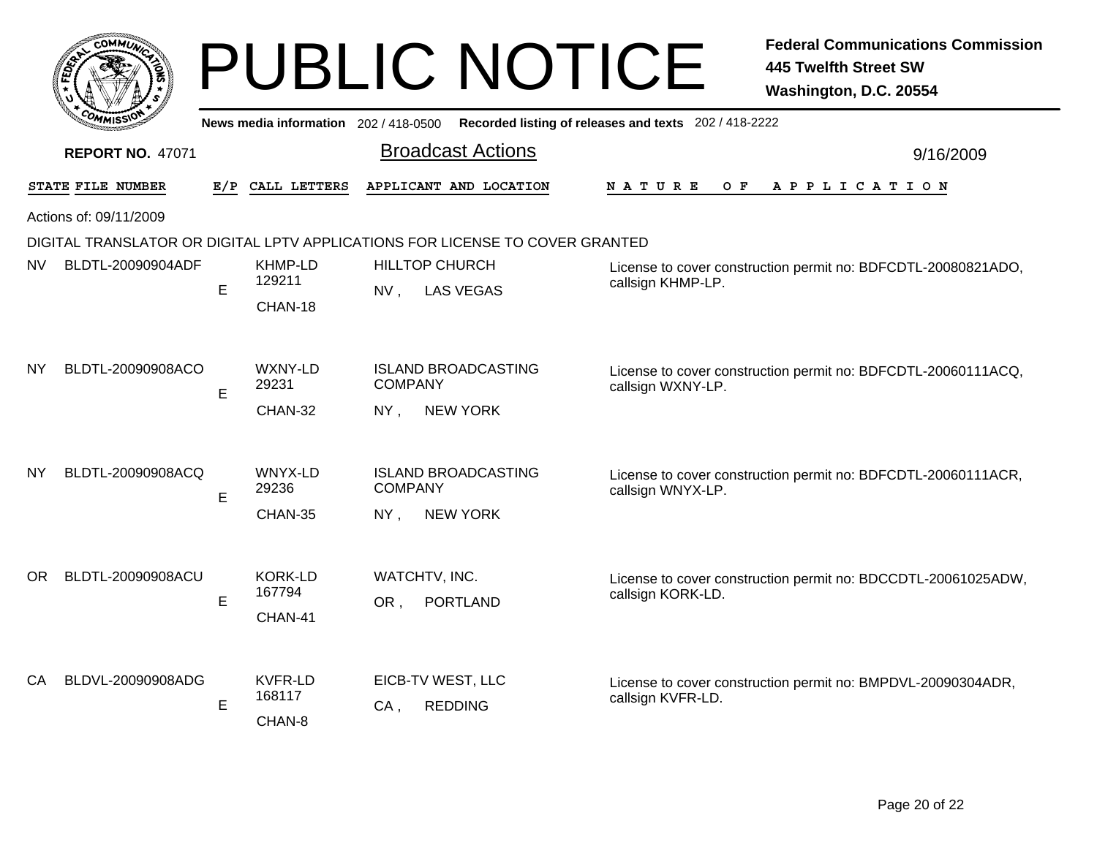|     |                                                                              |                        |                                     |                                            | <b>PUBLIC NOTICE</b>       |                                                       |                                                                                   | <b>Federal Communications Commission</b><br>445 Twelfth Street SW<br>Washington, D.C. 20554 |  |  |  |
|-----|------------------------------------------------------------------------------|------------------------|-------------------------------------|--------------------------------------------|----------------------------|-------------------------------------------------------|-----------------------------------------------------------------------------------|---------------------------------------------------------------------------------------------|--|--|--|
|     |                                                                              |                        | News media information 202/418-0500 |                                            |                            | Recorded listing of releases and texts 202 / 418-2222 |                                                                                   |                                                                                             |  |  |  |
|     | <b>REPORT NO. 47071</b>                                                      |                        |                                     |                                            | <b>Broadcast Actions</b>   |                                                       |                                                                                   | 9/16/2009                                                                                   |  |  |  |
|     | STATE FILE NUMBER                                                            | E/P                    | CALL LETTERS                        |                                            | APPLICANT AND LOCATION     |                                                       | N A T U R E<br>O F                                                                | A P P L I C A T I O N                                                                       |  |  |  |
|     | Actions of: 09/11/2009                                                       |                        |                                     |                                            |                            |                                                       |                                                                                   |                                                                                             |  |  |  |
|     | DIGITAL TRANSLATOR OR DIGITAL LPTV APPLICATIONS FOR LICENSE TO COVER GRANTED |                        |                                     |                                            |                            |                                                       |                                                                                   |                                                                                             |  |  |  |
| NV. | BLDTL-20090904ADF                                                            |                        | KHMP-LD                             |                                            | <b>HILLTOP CHURCH</b>      |                                                       |                                                                                   | License to cover construction permit no: BDFCDTL-20080821ADO,                               |  |  |  |
|     |                                                                              | E                      | 129211                              | NV,                                        | <b>LAS VEGAS</b>           |                                                       | callsign KHMP-LP.                                                                 |                                                                                             |  |  |  |
|     |                                                                              |                        | CHAN-18                             |                                            |                            |                                                       |                                                                                   |                                                                                             |  |  |  |
| NY  | BLDTL-20090908ACO                                                            | E                      | <b>WXNY-LD</b><br>29231             | <b>COMPANY</b>                             | <b>ISLAND BROADCASTING</b> |                                                       | callsign WXNY-LP.                                                                 | License to cover construction permit no: BDFCDTL-20060111ACQ,                               |  |  |  |
|     |                                                                              |                        | CHAN-32                             | NY.                                        | <b>NEW YORK</b>            |                                                       |                                                                                   |                                                                                             |  |  |  |
| NY  | BLDTL-20090908ACQ                                                            |                        | WNYX-LD                             |                                            | <b>ISLAND BROADCASTING</b> |                                                       | License to cover construction permit no: BDFCDTL-20060111ACR,                     |                                                                                             |  |  |  |
|     |                                                                              | E                      | 29236                               | <b>COMPANY</b>                             |                            |                                                       | callsign WNYX-LP.                                                                 |                                                                                             |  |  |  |
|     |                                                                              |                        | CHAN-35                             | NY,                                        | <b>NEW YORK</b>            |                                                       |                                                                                   |                                                                                             |  |  |  |
| OR. | BLDTL-20090908ACU                                                            |                        | <b>KORK-LD</b>                      |                                            | WATCHTV, INC.              |                                                       |                                                                                   | License to cover construction permit no: BDCCDTL-20061025ADW,                               |  |  |  |
|     |                                                                              | E                      | 167794                              | OR ,                                       | <b>PORTLAND</b>            |                                                       | callsign KORK-LD.                                                                 |                                                                                             |  |  |  |
|     |                                                                              |                        | CHAN-41                             |                                            |                            |                                                       |                                                                                   |                                                                                             |  |  |  |
| CA  | BLDVL-20090908ADG                                                            | KVFR-LD<br>168117<br>E |                                     | EICB-TV WEST, LLC<br><b>REDDING</b><br>CA, |                            |                                                       | License to cover construction permit no: BMPDVL-20090304ADR,<br>callsign KVFR-LD. |                                                                                             |  |  |  |
|     |                                                                              |                        | CHAN-8                              |                                            |                            |                                                       |                                                                                   |                                                                                             |  |  |  |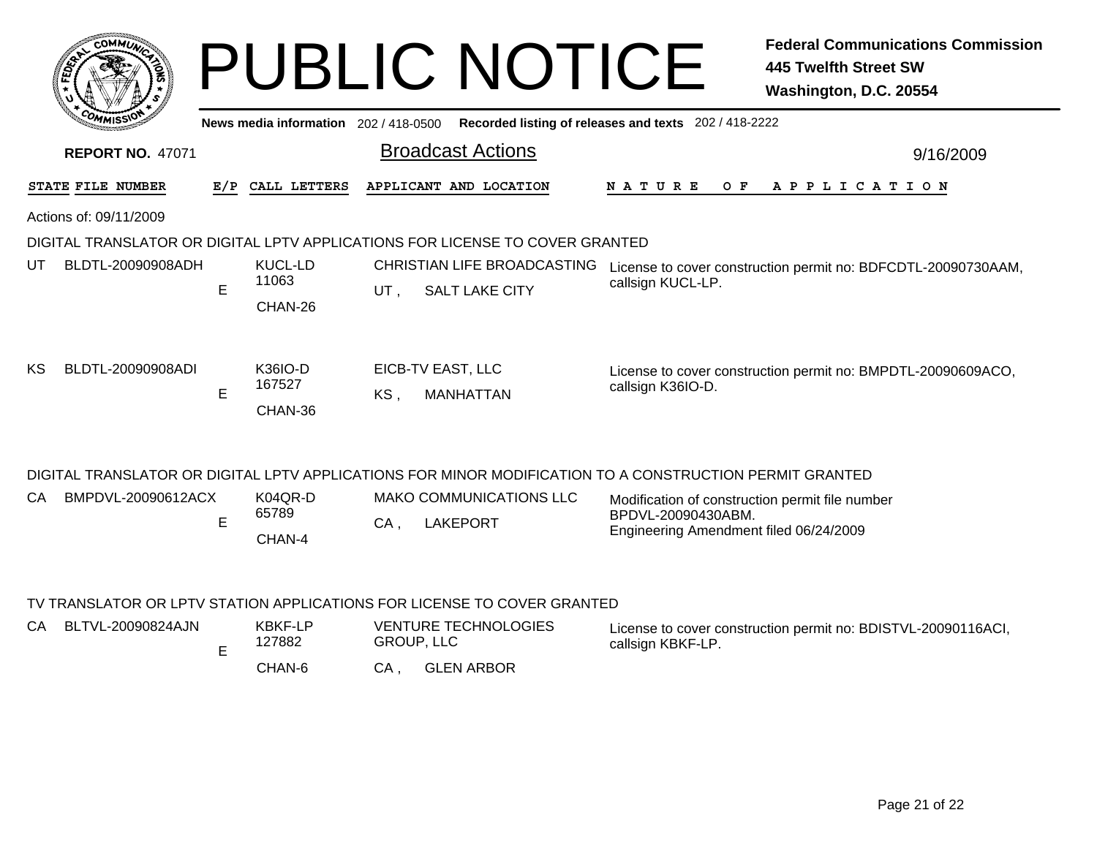|                                                                                                         | COMMUN                  |     |                                    |     | <b>PUBLIC NOTICE</b>                                                         |                                                                                                                 | <b>Federal Communications Commission</b><br><b>445 Twelfth Street SW</b><br>Washington, D.C. 20554 |  |  |
|---------------------------------------------------------------------------------------------------------|-------------------------|-----|------------------------------------|-----|------------------------------------------------------------------------------|-----------------------------------------------------------------------------------------------------------------|----------------------------------------------------------------------------------------------------|--|--|
| News media information 202 / 418-0500 Recorded listing of releases and texts 202 / 418-2222             |                         |     |                                    |     |                                                                              |                                                                                                                 |                                                                                                    |  |  |
|                                                                                                         | <b>REPORT NO. 47071</b> |     |                                    |     | <b>Broadcast Actions</b>                                                     |                                                                                                                 | 9/16/2009                                                                                          |  |  |
|                                                                                                         | STATE FILE NUMBER       | E/P | CALL LETTERS                       |     | APPLICANT AND LOCATION                                                       | N A T U R E<br>O F                                                                                              | APPLICATION                                                                                        |  |  |
|                                                                                                         | Actions of: 09/11/2009  |     |                                    |     |                                                                              |                                                                                                                 |                                                                                                    |  |  |
|                                                                                                         |                         |     |                                    |     | DIGITAL TRANSLATOR OR DIGITAL LPTV APPLICATIONS FOR LICENSE TO COVER GRANTED |                                                                                                                 |                                                                                                    |  |  |
| UT                                                                                                      | BLDTL-20090908ADH       | E   | <b>KUCL-LD</b><br>11063<br>CHAN-26 | UT, | CHRISTIAN LIFE BROADCASTING<br><b>SALT LAKE CITY</b>                         | callsign KUCL-LP.                                                                                               | License to cover construction permit no: BDFCDTL-20090730AAM,                                      |  |  |
| ΚS                                                                                                      | BLDTL-20090908ADI       | E   | K36IO-D<br>167527<br>CHAN-36       | KS, | EICB-TV EAST, LLC<br><b>MANHATTAN</b>                                        | callsign K36IO-D.                                                                                               | License to cover construction permit no: BMPDTL-20090609ACO,                                       |  |  |
| DIGITAL TRANSLATOR OR DIGITAL LPTV APPLICATIONS FOR MINOR MODIFICATION TO A CONSTRUCTION PERMIT GRANTED |                         |     |                                    |     |                                                                              |                                                                                                                 |                                                                                                    |  |  |
| CA.                                                                                                     | BMPDVL-20090612ACX      | Е   | K04QR-D<br>65789<br>CHAN-4         | CA. | <b>MAKO COMMUNICATIONS LLC</b><br><b>LAKEPORT</b>                            | Modification of construction permit file number<br>BPDVL-20090430ABM.<br>Engineering Amendment filed 06/24/2009 |                                                                                                    |  |  |
|                                                                                                         |                         |     |                                    |     | TV TRANSLATOR OR LPTV STATION APPLICATIONS FOR LICENSE TO COVER GRANTED      |                                                                                                                 |                                                                                                    |  |  |
| CA.                                                                                                     | BLTVL-20090824AJN       |     | <b>KBKF-LP</b>                     |     | <b>VENTURE TECHNOLOGIES</b>                                                  |                                                                                                                 | License to cover construction permit no: BDISTVL-20090116ACI.                                      |  |  |

E

GROUP, LLC 127882

CHAN-6, GLEN ARBOR CA

License to cover construction permit no: BDISTVL-20090116ACI, callsign KBKF-LP.